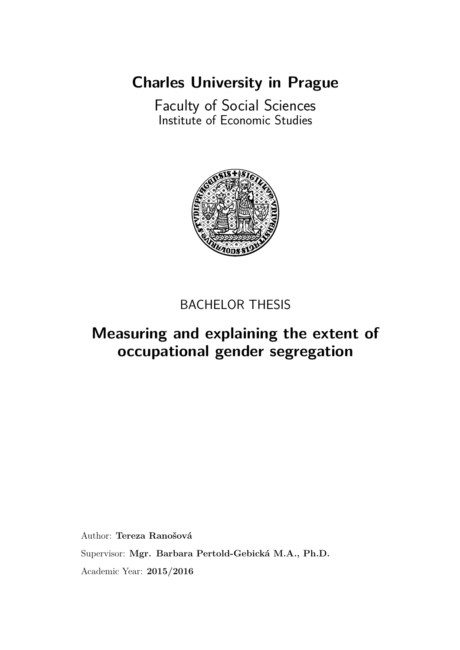**[Charles University in Prague](http://www.cuni.cz/UKENG-1.html)**

[Faculty of Social Sciences](http://fsveng.fsv.cuni.cz/FSVENG-1.html) [Institute of Economic Studies](http://ies.fsv.cuni.cz/index.php?module=board&action=board&lng=en_GB)



### BACHELOR THESIS

### **[Measuring and explaining the extent of](http://samba.fsv.cuni.cz/~lastname/bachelor_thesis) [occupational gender segregation](http://samba.fsv.cuni.cz/~lastname/bachelor_thesis)**

Author: Tereza Ranošová Supervisor: Mgr. Barbara Pertold-Gebická M.A., Ph.D. Academic Year: **2015/2016**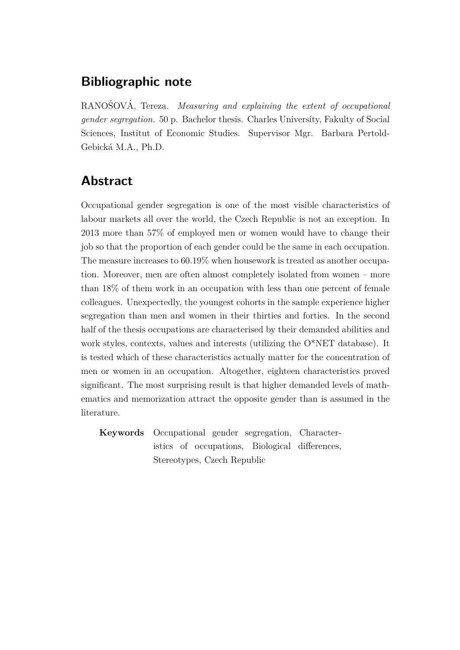### **Bibliographic note**

RANOSOVÁ, Tereza. Measuring and explaining the extent of occupational *gender segregation.* 50 p. Bachelor thesis. Charles University, Fakulty of Social Sciences, Institut of Economic Studies. Supervisor Mgr. Barbara Pertold-Gebická M.A., Ph.D.

### **Abstract**

Occupational gender segregation is one of the most visible characteristics of labour markets all over the world, the Czech Republic is not an exception. In 2013 more than 57% of employed men or women would have to change their job so that the proportion of each gender could be the same in each occupation. The measure increases to 60.19% when housework is treated as another occupation. Moreover, men are often almost completely isolated from women – more than 18% of them work in an occupation with less than one percent of female colleagues. Unexpectedly, the youngest cohorts in the sample experience higher segregation than men and women in their thirties and forties. In the second half of the thesis occupations are characterised by their demanded abilities and work styles, contexts, values and interests (utilizing the O\*NET database). It is tested which of these characteristics actually matter for the concentration of men or women in an occupation. Altogether, eighteen characteristics proved significant. The most surprising result is that higher demanded levels of mathematics and memorization attract the opposite gender than is assumed in the literature.

**Keywords** Occupational gender segregation, Characteristics of occupations, Biological differences, Stereotypes, Czech Republic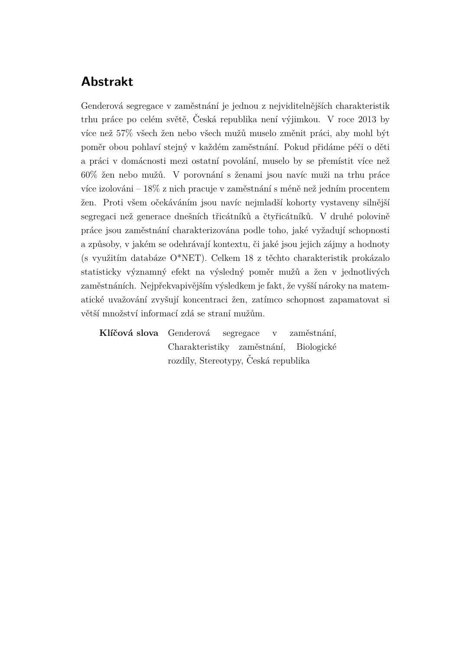### **Abstrakt**

Genderová segregace v zaměstnání je jednou z nejviditelnějších charakteristik trhu práce po celém světě, Česká republika není výjimkou. V roce 2013 by více než 57% všech žen nebo všech mužů muselo změnit práci, aby mohl být poměr obou pohlaví stejný v každém zaměstnání. Pokud přidáme péči o děti a práci v domácnosti mezi ostatní povolání, muselo by se přemístit více než  $60\%$  žen nebo mužů. V porovnání s ženami jsou navíc muži na trhu práce více izolováni –  $18\%$  z nich pracuje v zaměstnání s méně než jedním procentem žen. Proti všem očekáváním jsou navíc nejmladší kohorty vystaveny silnější segregaci než generace dnešních třicátníků a čtyřicátníků. V druhé polovině práce jsou zaměstnání charakterizována podle toho, jaké vyžadují schopnosti a způsoby, v jakém se odehrávají kontextu, či jaké jsou jejich zájmy a hodnoty (s využitím databáze O\*NET). Celkem 18 z těchto charakteristik prokázalo statisticky významný efekt na výsledný poměr mužů a žen v jednotlivých zaměstnáních. Nejpřekvapivějším výsledkem je fakt, že vyšší nároky na matematické uvažování zvyšují koncentraci žen, zatímco schopnost zapamatovat si větší množství informací zdá se straní mužům.

Klíčová slova Genderová segregace v zaměstnání, Charakteristiky zaměstnání, Biologické rozdíly, Stereotypy, Česká republika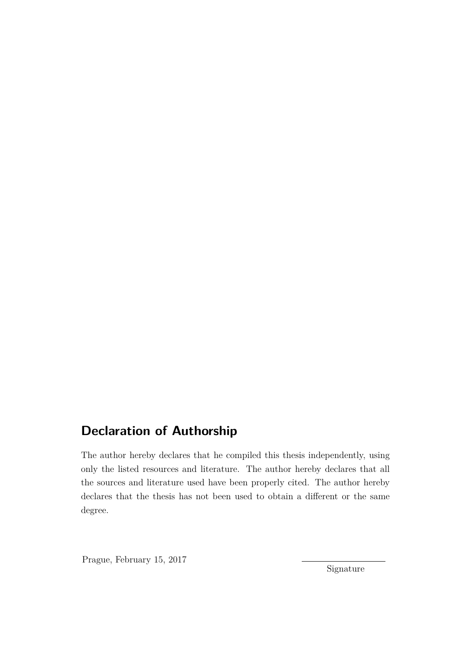### **Declaration of Authorship**

The author hereby declares that he compiled this thesis independently, using only the listed resources and literature. The author hereby declares that all the sources and literature used have been properly cited. The author hereby declares that the thesis has not been used to obtain a different or the same degree.

Prague, February 15, 2017

Signature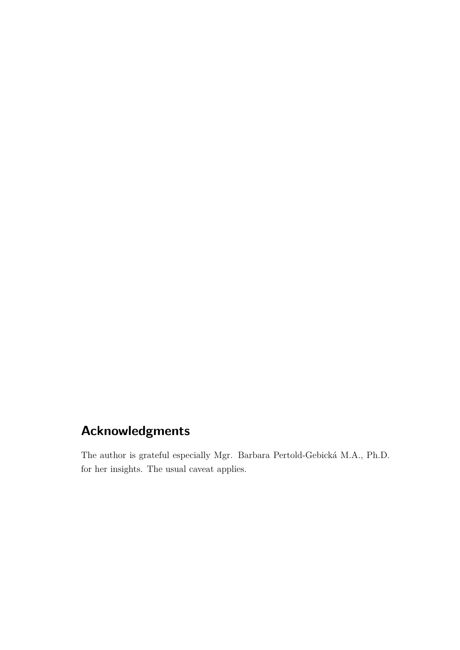### **Acknowledgments**

The author is grateful especially Mgr. Barbara Pertold-Gebická M.A., Ph.D. for her insights. The usual caveat applies.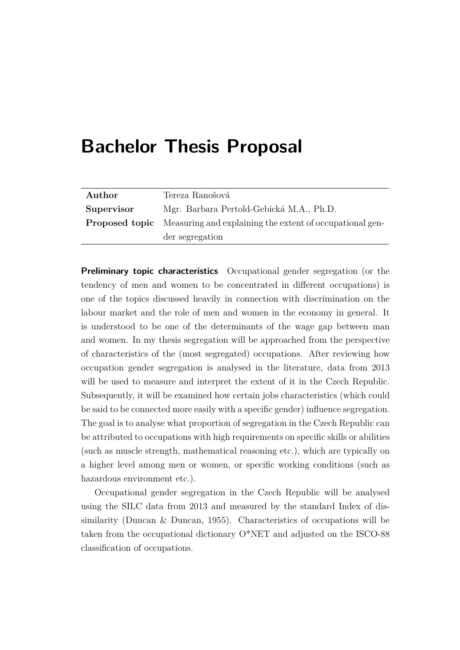## <span id="page-5-0"></span>**Bachelor Thesis Proposal**

| Author     | Tereza Ranošová                                                                |
|------------|--------------------------------------------------------------------------------|
| Supervisor | Mgr. Barbara Pertold-Gebická M.A., Ph.D.                                       |
|            | <b>Proposed topic</b> Measuring and explaining the extent of occupational gen- |
|            | der segregation                                                                |

**Preliminary topic characteristics** Occupational gender segregation (or the tendency of men and women to be concentrated in different occupations) is one of the topics discussed heavily in connection with discrimination on the labour market and the role of men and women in the economy in general. It is understood to be one of the determinants of the wage gap between man and women. In my thesis segregation will be approached from the perspective of characteristics of the (most segregated) occupations. After reviewing how occupation gender segregation is analysed in the literature, data from 2013 will be used to measure and interpret the extent of it in the Czech Republic. Subsequently, it will be examined how certain jobs characteristics (which could be said to be connected more easily with a specific gender) influence segregation. The goal is to analyse what proportion of segregation in the Czech Republic can be attributed to occupations with high requirements on specific skills or abilities (such as muscle strength, mathematical reasoning etc.), which are typically on a higher level among men or women, or specific working conditions (such as hazardous environment etc.).

Occupational gender segregation in the Czech Republic will be analysed using the SILC data from 2013 and measured by the standard Index of dissimilarity [\(Duncan & Duncan,](#page-57-0) [1955\)](#page-57-0). Characteristics of occupations will be taken from the occupational dictionary O\*NET and adjusted on the ISCO-88 classification of occupations.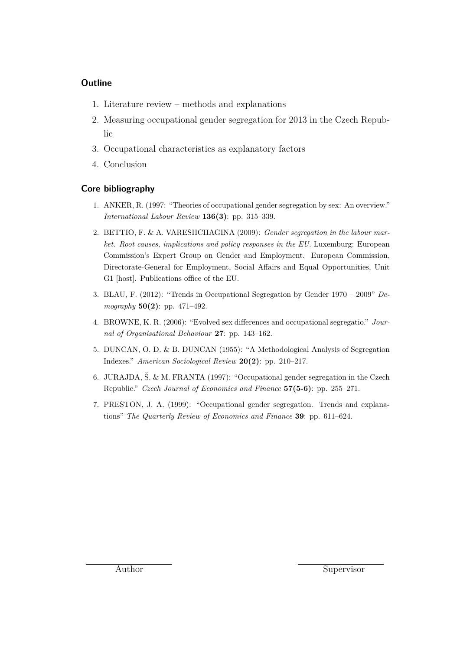#### **Outline**

- 1. Literature review methods and explanations
- 2. Measuring occupational gender segregation for 2013 in the Czech Republic
- 3. Occupational characteristics as explanatory factors
- 4. Conclusion

#### **Core bibliography**

- 1. ANKER, R. (1997: "Theories of occupational gender segregation by sex: An overview." *International Labour Review* **136(3)**: pp. 315–339.
- 2. BETTIO, F. & A. VARESHCHAGINA (2009): *Gender segregation in the labour market. Root causes, implications and policy responses in the EU.* Luxemburg: European Commission's Expert Group on Gender and Employment. European Commission, Directorate-General for Employment, Social Affairs and Equal Opportunities, Unit G1 [host]. Publications office of the EU.
- 3. BLAU, F. (2012): "Trends in Occupational Segregation by Gender 1970 2009" *Demography* **50(2)**: pp. 471–492.
- 4. BROWNE, K. R. (2006): "Evolved sex differences and occupational segregatio." *Journal of Organisational Behaviour* **27**: pp. 143–162.
- 5. DUNCAN, O. D. & B. DUNCAN (1955): "A Methodological Analysis of Segregation Indexes." *American Sociological Review* **20(2)**: pp. 210–217.
- 6. JURAJDA,  $\check{S}$ , & M. FRANTA (1997): "Occupational gender segregation in the Czech Republic." *Czech Journal of Economics and Finance* **57(5-6)**: pp. 255–271.
- 7. PRESTON, J. A. (1999): "Occupational gender segregation. Trends and explanations" *The Quarterly Review of Economics and Finance* **39**: pp. 611–624.

Author Supervisor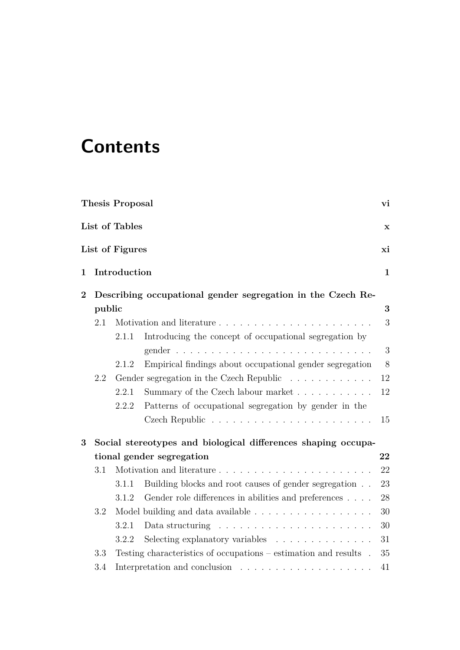# **Contents**

|                |        | <b>Thesis Proposal</b> |                                                                     | vi          |  |  |
|----------------|--------|------------------------|---------------------------------------------------------------------|-------------|--|--|
|                |        | List of Tables         |                                                                     | $\mathbf X$ |  |  |
|                |        | List of Figures        |                                                                     | xi          |  |  |
| $\mathbf{1}$   |        | Introduction           |                                                                     |             |  |  |
| $\overline{2}$ |        |                        | Describing occupational gender segregation in the Czech Re-         |             |  |  |
|                | public |                        |                                                                     | 3           |  |  |
|                | 2.1    |                        |                                                                     | 3           |  |  |
|                |        | 2.1.1                  | Introducing the concept of occupational segregation by              |             |  |  |
|                |        |                        |                                                                     | 3           |  |  |
|                |        | 2.1.2                  | Empirical findings about occupational gender segregation            | 8           |  |  |
|                | 2.2    |                        | Gender segregation in the Czech Republic                            | 12          |  |  |
|                |        | 2.2.1                  | Summary of the Czech labour market                                  | 12          |  |  |
|                |        | 2.2.2                  | Patterns of occupational segregation by gender in the               |             |  |  |
|                |        |                        |                                                                     | $15\,$      |  |  |
| 3              |        |                        | Social stereotypes and biological differences shaping occupa-       |             |  |  |
|                |        |                        | tional gender segregation                                           | 22          |  |  |
|                | 3.1    |                        |                                                                     | 22          |  |  |
|                |        | 3.1.1                  | Building blocks and root causes of gender segregation               | 23          |  |  |
|                |        | 3.1.2                  | Gender role differences in abilities and preferences                | 28          |  |  |
|                | 3.2    |                        | Model building and data available                                   | 30          |  |  |
|                |        | 3.2.1                  | Data structuring $\ldots \ldots \ldots \ldots \ldots \ldots \ldots$ | 30          |  |  |
|                |        | 3.2.2                  | Selecting explanatory variables                                     | 31          |  |  |
|                | 3.3    |                        | Testing characteristics of occupations $-$ estimation and results.  | 35          |  |  |
|                | 3.4    |                        |                                                                     | 41          |  |  |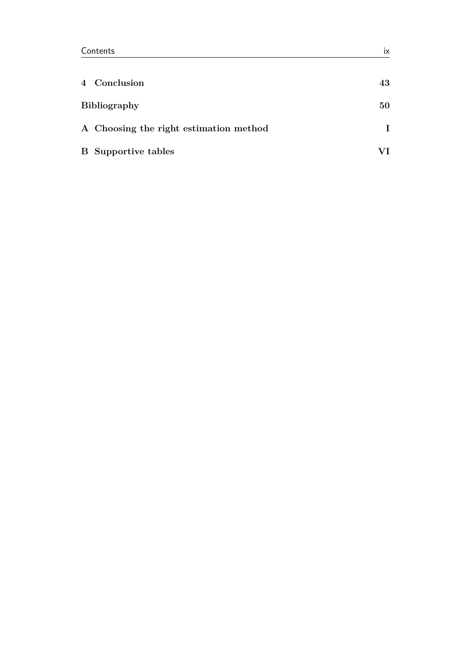| 4 Conclusion                           | 43 |
|----------------------------------------|----|
| <b>Bibliography</b>                    | 50 |
| A Choosing the right estimation method |    |
| <b>B</b> Supportive tables             |    |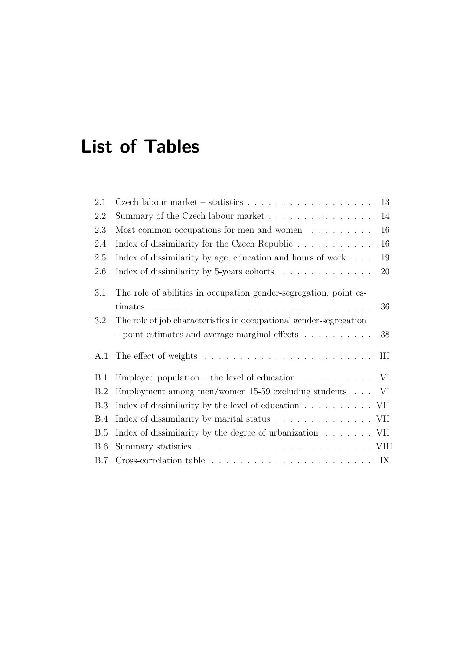# <span id="page-9-0"></span>**List of Tables**

| 2.1        | Czech labour market – statistics $\ldots \ldots \ldots \ldots \ldots \ldots$                | 13 |
|------------|---------------------------------------------------------------------------------------------|----|
| 2.2        | Summary of the Czech labour market                                                          | 14 |
| 2.3        | Most common occupations for men and women $\dots \dots$                                     | 16 |
| 2.4        | Index of dissimilarity for the Czech Republic                                               | 16 |
| 2.5        | Index of dissimilarity by age, education and hours of work $\dots$                          | 19 |
| 2.6        | Index of dissimilarity by 5-years cohorts $\ldots \ldots \ldots \ldots$                     | 20 |
| 3.1        | The role of abilities in occupation gender-segregation, point es-                           |    |
|            |                                                                                             | 36 |
| 3.2        | The role of job characteristics in occupational gender-segregation                          |    |
|            | - point estimates and average marginal effects $\ldots \ldots \ldots$                       | 38 |
| A.1        | The effect of weights $\dots \dots \dots \dots \dots \dots \dots \dots \dots$               | Ш  |
| B.1        | Employed population – the level of education $\ldots \ldots \ldots \ldots$ VI               |    |
| B.2        | Employment among men/women $15-59$ excluding students $\ldots$ VI                           |    |
| <b>B.3</b> | Index of dissimilarity by the level of education $\ldots \ldots \ldots \ldots$ VII          |    |
| B.4        | Index of dissimilarity by marital status VII                                                |    |
| B.5        | Index of dissimilarity by the degree of urbanization $\dots \dots$ VII                      |    |
| B.6        |                                                                                             |    |
| B.7        | Cross-correlation table $\ldots \ldots \ldots \ldots \ldots \ldots \ldots \ldots \ldots$ IX |    |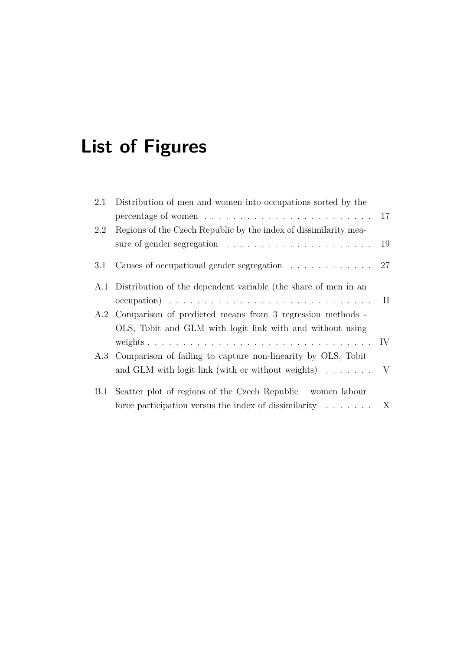# <span id="page-10-0"></span>**List of Figures**

| Distribution of men and women into occupations sorted by the<br>2.1 |                                                                                                                                                                                                                                                                                                                                                                                               |
|---------------------------------------------------------------------|-----------------------------------------------------------------------------------------------------------------------------------------------------------------------------------------------------------------------------------------------------------------------------------------------------------------------------------------------------------------------------------------------|
|                                                                     |                                                                                                                                                                                                                                                                                                                                                                                               |
| Regions of the Czech Republic by the index of dissimilarity mea-    |                                                                                                                                                                                                                                                                                                                                                                                               |
|                                                                     |                                                                                                                                                                                                                                                                                                                                                                                               |
|                                                                     |                                                                                                                                                                                                                                                                                                                                                                                               |
| A.1 Distribution of the dependent variable (the share of men in an  |                                                                                                                                                                                                                                                                                                                                                                                               |
|                                                                     |                                                                                                                                                                                                                                                                                                                                                                                               |
| A.2 Comparison of predicted means from 3 regression methods -       |                                                                                                                                                                                                                                                                                                                                                                                               |
| OLS, Tobit and GLM with logit link with and without using           |                                                                                                                                                                                                                                                                                                                                                                                               |
|                                                                     |                                                                                                                                                                                                                                                                                                                                                                                               |
| A.3 Comparison of failing to capture non-linearity by OLS, Tobit    |                                                                                                                                                                                                                                                                                                                                                                                               |
|                                                                     |                                                                                                                                                                                                                                                                                                                                                                                               |
|                                                                     |                                                                                                                                                                                                                                                                                                                                                                                               |
|                                                                     |                                                                                                                                                                                                                                                                                                                                                                                               |
|                                                                     | percentage of women $\ldots \ldots \ldots \ldots \ldots \ldots \ldots \ldots 17$<br>Causes of occupational gender segregation $\ldots \ldots \ldots \ldots$ 27<br>and GLM with logit link (with or without weights) $\ldots \ldots \ldots$<br>B.1 Scatter plot of regions of the Czech Republic – women labour<br>force participation versus the index of dissimilarity $\ldots$ . $\ldots$ X |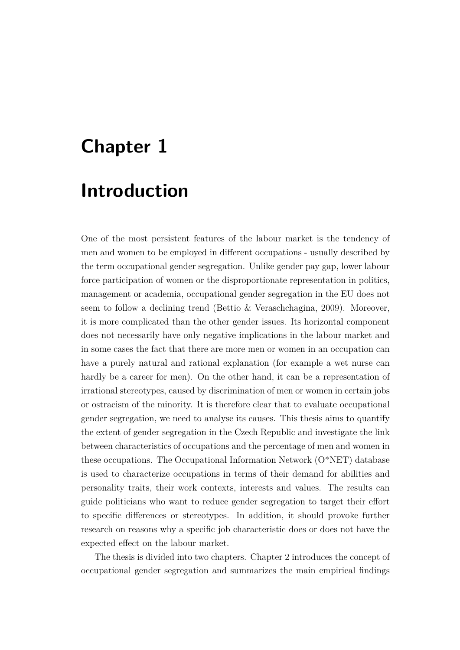# <span id="page-11-0"></span>**Chapter 1**

### **Introduction**

One of the most persistent features of the labour market is the tendency of men and women to be employed in different occupations - usually described by the term occupational gender segregation. Unlike gender pay gap, lower labour force participation of women or the disproportionate representation in politics, management or academia, occupational gender segregation in the EU does not seem to follow a declining trend [\(Bettio & Veraschchagina,](#page-56-1) [2009\)](#page-56-1). Moreover, it is more complicated than the other gender issues. Its horizontal component does not necessarily have only negative implications in the labour market and in some cases the fact that there are more men or women in an occupation can have a purely natural and rational explanation (for example a wet nurse can hardly be a career for men). On the other hand, it can be a representation of irrational stereotypes, caused by discrimination of men or women in certain jobs or ostracism of the minority. It is therefore clear that to evaluate occupational gender segregation, we need to analyse its causes. This thesis aims to quantify the extent of gender segregation in the Czech Republic and investigate the link between characteristics of occupations and the percentage of men and women in these occupations. The Occupational Information Network (O\*NET) database is used to characterize occupations in terms of their demand for abilities and personality traits, their work contexts, interests and values. The results can guide politicians who want to reduce gender segregation to target their effort to specific differences or stereotypes. In addition, it should provoke further research on reasons why a specific job characteristic does or does not have the expected effect on the labour market.

The thesis is divided into two chapters. [Chapter 2](#page-13-0) introduces the concept of occupational gender segregation and summarizes the main empirical findings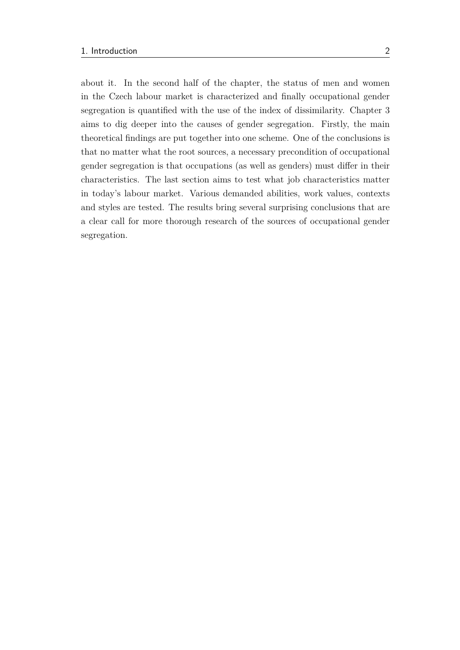about it. In the second half of the chapter, the status of men and women in the Czech labour market is characterized and finally occupational gender segregation is quantified with the use of the index of dissimilarity. [Chapter 3](#page-32-0) aims to dig deeper into the causes of gender segregation. Firstly, the main theoretical findings are put together into one scheme. One of the conclusions is that no matter what the root sources, a necessary precondition of occupational gender segregation is that occupations (as well as genders) must differ in their characteristics. The last section aims to test what job characteristics matter in today's labour market. Various demanded abilities, work values, contexts and styles are tested. The results bring several surprising conclusions that are a clear call for more thorough research of the sources of occupational gender segregation.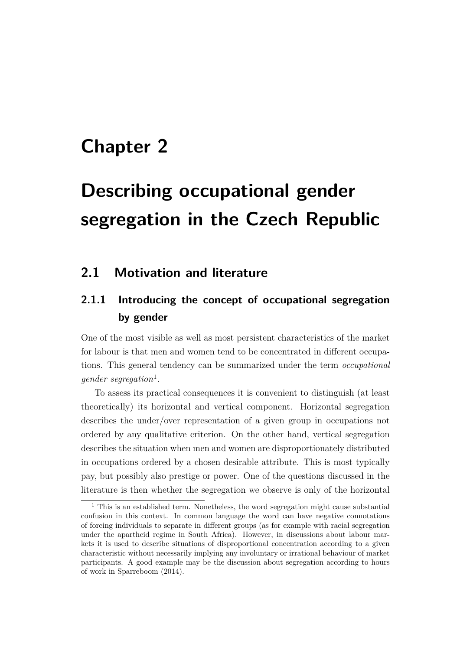## <span id="page-13-0"></span>**Chapter 2**

# **Describing occupational gender segregation in the Czech Republic**

#### <span id="page-13-1"></span>**2.1 Motivation and literature**

### <span id="page-13-2"></span>**2.1.1 Introducing the concept of occupational segregation by gender**

One of the most visible as well as most persistent characteristics of the market for labour is that men and women tend to be concentrated in different occupations. This general tendency can be summarized under the term *occupational gender segregation*[1](#page-13-3) .

To assess its practical consequences it is convenient to distinguish (at least theoretically) its horizontal and vertical component. Horizontal segregation describes the under/over representation of a given group in occupations not ordered by any qualitative criterion. On the other hand, vertical segregation describes the situation when men and women are disproportionately distributed in occupations ordered by a chosen desirable attribute. This is most typically pay, but possibly also prestige or power. One of the questions discussed in the literature is then whether the segregation we observe is only of the horizontal

<span id="page-13-3"></span> $1$  This is an established term. Nonetheless, the word segregation might cause substantial confusion in this context. In common language the word can have negative connotations of forcing individuals to separate in different groups (as for example with racial segregation under the apartheid regime in South Africa). However, in discussions about labour markets it is used to describe situations of disproportional concentration according to a given characteristic without necessarily implying any involuntary or irrational behaviour of market participants. A good example may be the discussion about segregation according to hours of work in [Sparreboom](#page-59-0) [\(2014\)](#page-59-0).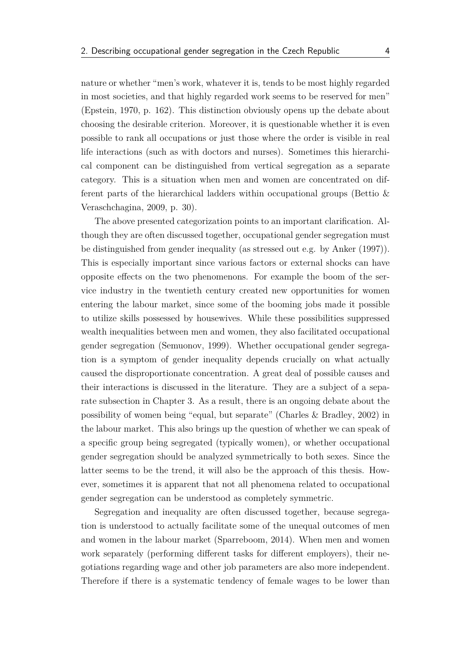nature or whether "men's work, whatever it is, tends to be most highly regarded in most societies, and that highly regarded work seems to be reserved for men" [\(Epstein,](#page-58-0) [1970,](#page-58-0) p. 162). This distinction obviously opens up the debate about choosing the desirable criterion. Moreover, it is questionable whether it is even possible to rank all occupations or just those where the order is visible in real life interactions (such as with doctors and nurses). Sometimes this hierarchical component can be distinguished from vertical segregation as a separate category. This is a situation when men and women are concentrated on different parts of the hierarchical ladders within occupational groups [\(Bettio &](#page-56-1) [Veraschchagina,](#page-56-1) [2009,](#page-56-1) p. 30).

The above presented categorization points to an important clarification. Although they are often discussed together, occupational gender segregation must be distinguished from gender inequality (as stressed out e.g. by [Anker](#page-56-2) [\(1997\)](#page-56-2)). This is especially important since various factors or external shocks can have opposite effects on the two phenomenons. For example the boom of the service industry in the twentieth century created new opportunities for women entering the labour market, since some of the booming jobs made it possible to utilize skills possessed by housewives. While these possibilities suppressed wealth inequalities between men and women, they also facilitated occupational gender segregation [\(Semuonov,](#page-59-1) [1999\)](#page-59-1). Whether occupational gender segregation is a symptom of gender inequality depends crucially on what actually caused the disproportionate concentration. A great deal of possible causes and their interactions is discussed in the literature. They are a subject of a separate subsection in [Chapter 3.](#page-32-0) As a result, there is an ongoing debate about the possibility of women being "equal, but separate" [\(Charles & Bradley,](#page-57-1) [2002\)](#page-57-1) in the labour market. This also brings up the question of whether we can speak of a specific group being segregated (typically women), or whether occupational gender segregation should be analyzed symmetrically to both sexes. Since the latter seems to be the trend, it will also be the approach of this thesis. However, sometimes it is apparent that not all phenomena related to occupational gender segregation can be understood as completely symmetric.

Segregation and inequality are often discussed together, because segregation is understood to actually facilitate some of the unequal outcomes of men and women in the labour market [\(Sparreboom,](#page-59-0) [2014\)](#page-59-0). When men and women work separately (performing different tasks for different employers), their negotiations regarding wage and other job parameters are also more independent. Therefore if there is a systematic tendency of female wages to be lower than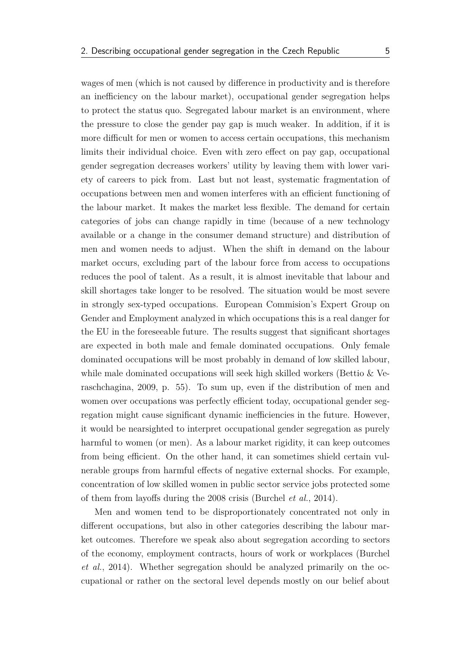wages of men (which is not caused by difference in productivity and is therefore an inefficiency on the labour market), occupational gender segregation helps

to protect the status quo. Segregated labour market is an environment, where the pressure to close the gender pay gap is much weaker. In addition, if it is more difficult for men or women to access certain occupations, this mechanism limits their individual choice. Even with zero effect on pay gap, occupational gender segregation decreases workers' utility by leaving them with lower variety of careers to pick from. Last but not least, systematic fragmentation of occupations between men and women interferes with an efficient functioning of the labour market. It makes the market less flexible. The demand for certain categories of jobs can change rapidly in time (because of a new technology available or a change in the consumer demand structure) and distribution of men and women needs to adjust. When the shift in demand on the labour market occurs, excluding part of the labour force from access to occupations reduces the pool of talent. As a result, it is almost inevitable that labour and skill shortages take longer to be resolved. The situation would be most severe in strongly sex-typed occupations. European Commision's Expert Group on Gender and Employment analyzed in which occupations this is a real danger for the EU in the foreseeable future. The results suggest that significant shortages are expected in both male and female dominated occupations. Only female dominated occupations will be most probably in demand of low skilled labour, while male dominated occupations will seek high skilled workers [\(Bettio & Ve](#page-56-1)[raschchagina,](#page-56-1) [2009,](#page-56-1) p. 55). To sum up, even if the distribution of men and women over occupations was perfectly efficient today, occupational gender segregation might cause significant dynamic inefficiencies in the future. However, it would be nearsighted to interpret occupational gender segregation as purely harmful to women (or men). As a labour market rigidity, it can keep outcomes from being efficient. On the other hand, it can sometimes shield certain vulnerable groups from harmful effects of negative external shocks. For example, concentration of low skilled women in public sector service jobs protected some of them from layoffs during the 2008 crisis [\(Burchel](#page-57-2) *et al.*, [2014\)](#page-57-2).

Men and women tend to be disproportionately concentrated not only in different occupations, but also in other categories describing the labour market outcomes. Therefore we speak also about segregation according to sectors of the economy, employment contracts, hours of work or workplaces [\(Burchel](#page-57-2) *[et al.](#page-57-2)*, [2014\)](#page-57-2). Whether segregation should be analyzed primarily on the occupational or rather on the sectoral level depends mostly on our belief about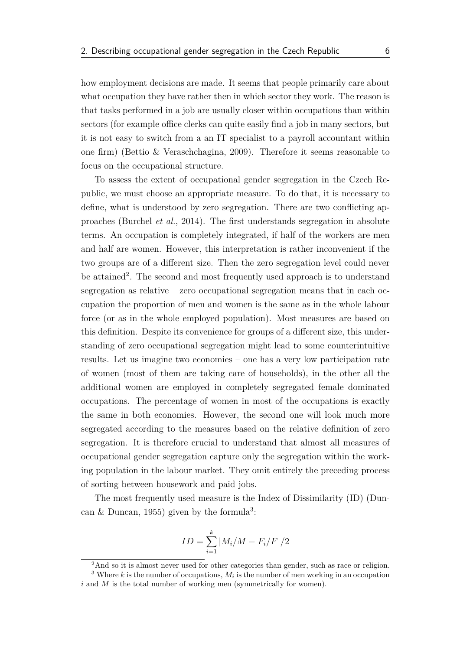how employment decisions are made. It seems that people primarily care about what occupation they have rather then in which sector they work. The reason is that tasks performed in a job are usually closer within occupations than within sectors (for example office clerks can quite easily find a job in many sectors, but it is not easy to switch from a an IT specialist to a payroll accountant within one firm) [\(Bettio & Veraschchagina,](#page-56-1) [2009\)](#page-56-1). Therefore it seems reasonable to focus on the occupational structure.

To assess the extent of occupational gender segregation in the Czech Republic, we must choose an appropriate measure. To do that, it is necessary to define, what is understood by zero segregation. There are two conflicting approaches [\(Burchel](#page-57-2) *et al.*, [2014\)](#page-57-2). The first understands segregation in absolute terms. An occupation is completely integrated, if half of the workers are men and half are women. However, this interpretation is rather inconvenient if the two groups are of a different size. Then the zero segregation level could never be attained<sup>[2](#page-16-0)</sup>. The second and most frequently used approach is to understand segregation as relative – zero occupational segregation means that in each occupation the proportion of men and women is the same as in the whole labour force (or as in the whole employed population). Most measures are based on this definition. Despite its convenience for groups of a different size, this understanding of zero occupational segregation might lead to some counterintuitive results. Let us imagine two economies – one has a very low participation rate of women (most of them are taking care of households), in the other all the additional women are employed in completely segregated female dominated occupations. The percentage of women in most of the occupations is exactly the same in both economies. However, the second one will look much more segregated according to the measures based on the relative definition of zero segregation. It is therefore crucial to understand that almost all measures of occupational gender segregation capture only the segregation within the working population in the labour market. They omit entirely the preceding process of sorting between housework and paid jobs.

The most frequently used measure is the Index of Dissimilarity (ID) [\(Dun](#page-57-0)[can & Duncan,](#page-57-0) [1955\)](#page-57-0) given by the formula<sup>[3](#page-16-1)</sup>:

$$
ID = \sum_{i=1}^{k} |M_i/M - F_i/F|/2
$$

<span id="page-16-1"></span><span id="page-16-0"></span><sup>2</sup>And so it is almost never used for other categories than gender, such as race or religion.

<sup>&</sup>lt;sup>3</sup> Where  $k$  is the number of occupations,  $M_i$  is the number of men working in an occupation *i* and *M* is the total number of working men (symmetrically for women).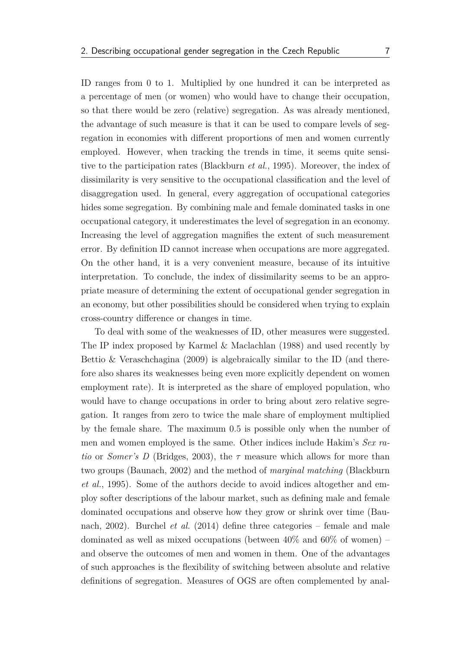ID ranges from 0 to 1. Multiplied by one hundred it can be interpreted as a percentage of men (or women) who would have to change their occupation, so that there would be zero (relative) segregation. As was already mentioned, the advantage of such measure is that it can be used to compare levels of segregation in economies with different proportions of men and women currently employed. However, when tracking the trends in time, it seems quite sensitive to the participation rates [\(Blackburn](#page-56-3) *et al.*, [1995\)](#page-56-3). Moreover, the index of dissimilarity is very sensitive to the occupational classification and the level of disaggregation used. In general, every aggregation of occupational categories hides some segregation. By combining male and female dominated tasks in one occupational category, it underestimates the level of segregation in an economy. Increasing the level of aggregation magnifies the extent of such measurement error. By definition ID cannot increase when occupations are more aggregated. On the other hand, it is a very convenient measure, because of its intuitive interpretation. To conclude, the index of dissimilarity seems to be an appropriate measure of determining the extent of occupational gender segregation in an economy, but other possibilities should be considered when trying to explain cross-country difference or changes in time.

To deal with some of the weaknesses of ID, other measures were suggested. The IP index proposed by [Karmel & Maclachlan](#page-58-1) [\(1988\)](#page-58-1) and used recently by [Bettio & Veraschchagina](#page-56-1) [\(2009\)](#page-56-1) is algebraically similar to the ID (and therefore also shares its weaknesses being even more explicitly dependent on women employment rate). It is interpreted as the share of employed population, who would have to change occupations in order to bring about zero relative segregation. It ranges from zero to twice the male share of employment multiplied by the female share. The maximum 0*.*5 is possible only when the number of men and women employed is the same. Other indices include Hakim's *Sex ratio* or *Somer's D* [\(Bridges,](#page-57-3) [2003\)](#page-57-3), the *τ* measure which allows for more than two groups [\(Baunach,](#page-56-4) [2002\)](#page-56-4) and the method of *marginal matching* [\(Blackburn](#page-56-3) *[et al.](#page-56-3)*, [1995\)](#page-56-3). Some of the authors decide to avoid indices altogether and employ softer descriptions of the labour market, such as defining male and female dominated occupations and observe how they grow or shrink over time [\(Bau](#page-56-4)[nach,](#page-56-4) [2002\)](#page-56-4). [Burchel](#page-57-2) *et al.* [\(2014\)](#page-57-2) define three categories – female and male dominated as well as mixed occupations (between  $40\%$  and  $60\%$  of women) – and observe the outcomes of men and women in them. One of the advantages of such approaches is the flexibility of switching between absolute and relative definitions of segregation. Measures of OGS are often complemented by anal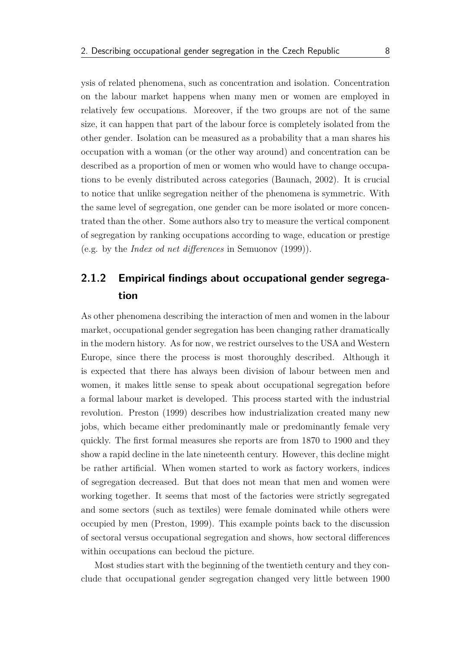ysis of related phenomena, such as concentration and isolation. Concentration on the labour market happens when many men or women are employed in relatively few occupations. Moreover, if the two groups are not of the same size, it can happen that part of the labour force is completely isolated from the other gender. Isolation can be measured as a probability that a man shares his occupation with a woman (or the other way around) and concentration can be described as a proportion of men or women who would have to change occupations to be evenly distributed across categories [\(Baunach,](#page-56-4) [2002\)](#page-56-4). It is crucial to notice that unlike segregation neither of the phenomena is symmetric. With the same level of segregation, one gender can be more isolated or more concentrated than the other. Some authors also try to measure the vertical component of segregation by ranking occupations according to wage, education or prestige (e.g. by the *Index od net differences* in [Semuonov](#page-59-1) [\(1999\)](#page-59-1)).

### <span id="page-18-0"></span>**2.1.2 Empirical findings about occupational gender segregation**

As other phenomena describing the interaction of men and women in the labour market, occupational gender segregation has been changing rather dramatically in the modern history. As for now, we restrict ourselves to the USA and Western Europe, since there the process is most thoroughly described. Although it is expected that there has always been division of labour between men and women, it makes little sense to speak about occupational segregation before a formal labour market is developed. This process started with the industrial revolution. [Preston](#page-59-2) [\(1999\)](#page-59-2) describes how industrialization created many new jobs, which became either predominantly male or predominantly female very quickly. The first formal measures she reports are from 1870 to 1900 and they show a rapid decline in the late nineteenth century. However, this decline might be rather artificial. When women started to work as factory workers, indices of segregation decreased. But that does not mean that men and women were working together. It seems that most of the factories were strictly segregated and some sectors (such as textiles) were female dominated while others were occupied by men [\(Preston,](#page-59-2) [1999\)](#page-59-2). This example points back to the discussion of sectoral versus occupational segregation and shows, how sectoral differences within occupations can becloud the picture.

Most studies start with the beginning of the twentieth century and they conclude that occupational gender segregation changed very little between 1900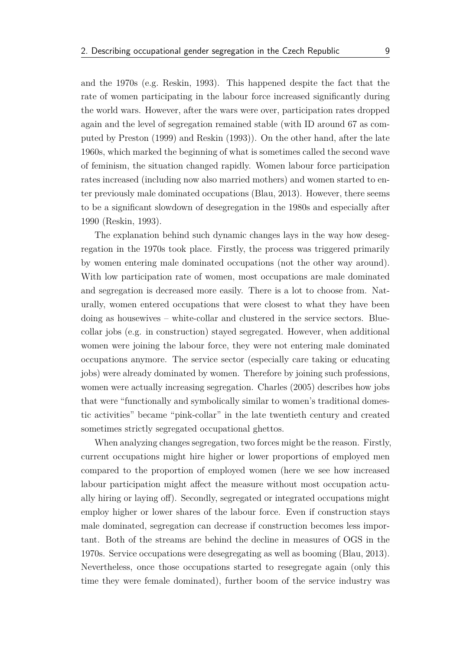and the 1970s (e.g. [Reskin,](#page-59-3) [1993\)](#page-59-3). This happened despite the fact that the rate of women participating in the labour force increased significantly during the world wars. However, after the wars were over, participation rates dropped again and the level of segregation remained stable (with ID around 67 as computed by [Preston](#page-59-2) [\(1999\)](#page-59-2) and [Reskin](#page-59-3) [\(1993\)](#page-59-3)). On the other hand, after the late 1960s, which marked the beginning of what is sometimes called the second wave of feminism, the situation changed rapidly. Women labour force participation rates increased (including now also married mothers) and women started to enter previously male dominated occupations [\(Blau,](#page-57-4) [2013\)](#page-57-4). However, there seems to be a significant slowdown of desegregation in the 1980s and especially after 1990 [\(Reskin,](#page-59-3) [1993\)](#page-59-3).

The explanation behind such dynamic changes lays in the way how desegregation in the 1970s took place. Firstly, the process was triggered primarily by women entering male dominated occupations (not the other way around). With low participation rate of women, most occupations are male dominated and segregation is decreased more easily. There is a lot to choose from. Naturally, women entered occupations that were closest to what they have been doing as housewives – white-collar and clustered in the service sectors. Bluecollar jobs (e.g. in construction) stayed segregated. However, when additional women were joining the labour force, they were not entering male dominated occupations anymore. The service sector (especially care taking or educating jobs) were already dominated by women. Therefore by joining such professions, women were actually increasing segregation. [Charles](#page-57-5) [\(2005\)](#page-57-5) describes how jobs that were "functionally and symbolically similar to women's traditional domestic activities" became "pink-collar" in the late twentieth century and created sometimes strictly segregated occupational ghettos.

When analyzing changes segregation, two forces might be the reason. Firstly, current occupations might hire higher or lower proportions of employed men compared to the proportion of employed women (here we see how increased labour participation might affect the measure without most occupation actually hiring or laying off). Secondly, segregated or integrated occupations might employ higher or lower shares of the labour force. Even if construction stays male dominated, segregation can decrease if construction becomes less important. Both of the streams are behind the decline in measures of OGS in the 1970s. Service occupations were desegregating as well as booming [\(Blau,](#page-57-4) [2013\)](#page-57-4). Nevertheless, once those occupations started to resegregate again (only this time they were female dominated), further boom of the service industry was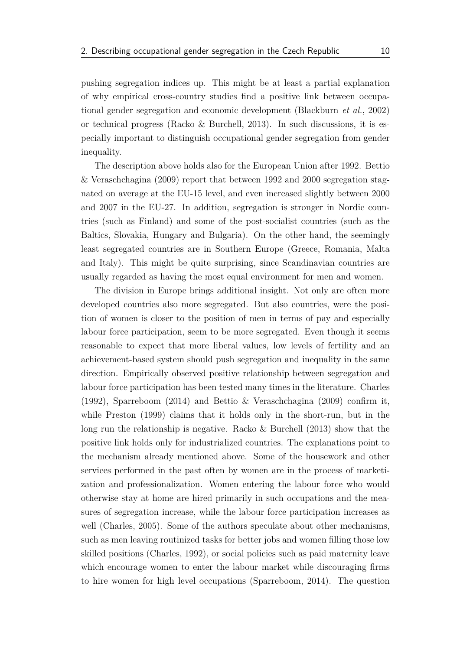pushing segregation indices up. This might be at least a partial explanation of why empirical cross-country studies find a positive link between occupational gender segregation and economic development [\(Blackburn](#page-56-5) *et al.*, [2002\)](#page-56-5) or technical progress [\(Racko & Burchell,](#page-59-4) [2013\)](#page-59-4). In such discussions, it is especially important to distinguish occupational gender segregation from gender inequality.

The description above holds also for the European Union after 1992. [Bettio](#page-56-1) [& Veraschchagina](#page-56-1) [\(2009\)](#page-56-1) report that between 1992 and 2000 segregation stagnated on average at the EU-15 level, and even increased slightly between 2000 and 2007 in the EU-27. In addition, segregation is stronger in Nordic countries (such as Finland) and some of the post-socialist countries (such as the Baltics, Slovakia, Hungary and Bulgaria). On the other hand, the seemingly least segregated countries are in Southern Europe (Greece, Romania, Malta and Italy). This might be quite surprising, since Scandinavian countries are usually regarded as having the most equal environment for men and women.

The division in Europe brings additional insight. Not only are often more developed countries also more segregated. But also countries, were the position of women is closer to the position of men in terms of pay and especially labour force participation, seem to be more segregated. Even though it seems reasonable to expect that more liberal values, low levels of fertility and an achievement-based system should push segregation and inequality in the same direction. Empirically observed positive relationship between segregation and labour force participation has been tested many times in the literature. [Charles](#page-57-6) [\(1992\)](#page-57-6), [Sparreboom](#page-59-0) [\(2014\)](#page-59-0) and [Bettio & Veraschchagina](#page-56-1) [\(2009\)](#page-56-1) confirm it, while [Preston](#page-59-2) [\(1999\)](#page-59-2) claims that it holds only in the short-run, but in the long run the relationship is negative. [Racko & Burchell](#page-59-4) [\(2013\)](#page-59-4) show that the positive link holds only for industrialized countries. The explanations point to the mechanism already mentioned above. Some of the housework and other services performed in the past often by women are in the process of marketization and professionalization. Women entering the labour force who would otherwise stay at home are hired primarily in such occupations and the measures of segregation increase, while the labour force participation increases as well [\(Charles,](#page-57-5) [2005\)](#page-57-5). Some of the authors speculate about other mechanisms, such as men leaving routinized tasks for better jobs and women filling those low skilled positions [\(Charles,](#page-57-6) [1992\)](#page-57-6), or social policies such as paid maternity leave which encourage women to enter the labour market while discouraging firms to hire women for high level occupations [\(Sparreboom,](#page-59-0) [2014\)](#page-59-0). The question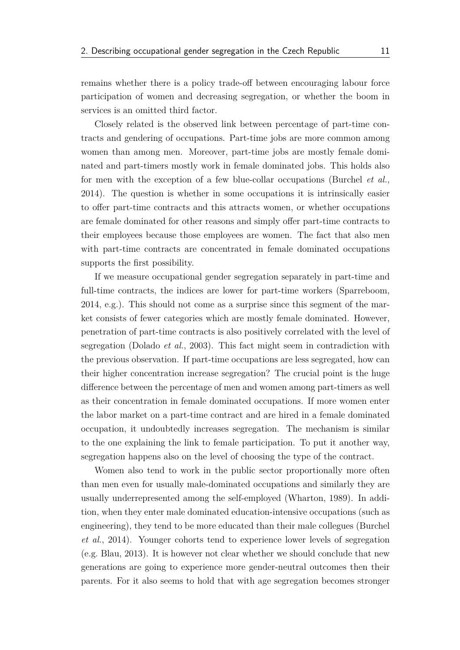remains whether there is a policy trade-off between encouraging labour force participation of women and decreasing segregation, or whether the boom in services is an omitted third factor.

Closely related is the observed link between percentage of part-time contracts and gendering of occupations. Part-time jobs are more common among women than among men. Moreover, part-time jobs are mostly female dominated and part-timers mostly work in female dominated jobs. This holds also for men with the exception of a few blue-collar occupations [\(Burchel](#page-57-2) *et al.*, [2014\)](#page-57-2). The question is whether in some occupations it is intrinsically easier to offer part-time contracts and this attracts women, or whether occupations are female dominated for other reasons and simply offer part-time contracts to their employees because those employees are women. The fact that also men with part-time contracts are concentrated in female dominated occupations supports the first possibility.

If we measure occupational gender segregation separately in part-time and full-time contracts, the indices are lower for part-time workers [\(Sparreboom,](#page-59-0) [2014,](#page-59-0) e.g.). This should not come as a surprise since this segment of the market consists of fewer categories which are mostly female dominated. However, penetration of part-time contracts is also positively correlated with the level of segregation [\(Dolado](#page-57-7) *et al.*, [2003\)](#page-57-7). This fact might seem in contradiction with the previous observation. If part-time occupations are less segregated, how can their higher concentration increase segregation? The crucial point is the huge difference between the percentage of men and women among part-timers as well as their concentration in female dominated occupations. If more women enter the labor market on a part-time contract and are hired in a female dominated occupation, it undoubtedly increases segregation. The mechanism is similar to the one explaining the link to female participation. To put it another way, segregation happens also on the level of choosing the type of the contract.

Women also tend to work in the public sector proportionally more often than men even for usually male-dominated occupations and similarly they are usually underrepresented among the self-employed [\(Wharton,](#page-59-5) [1989\)](#page-59-5). In addition, when they enter male dominated education-intensive occupations (such as engineering), they tend to be more educated than their male collegues [\(Burchel](#page-57-2) *[et al.](#page-57-2)*, [2014\)](#page-57-2). Younger cohorts tend to experience lower levels of segregation (e.g. [Blau,](#page-57-4) [2013\)](#page-57-4). It is however not clear whether we should conclude that new generations are going to experience more gender-neutral outcomes then their parents. For it also seems to hold that with age segregation becomes stronger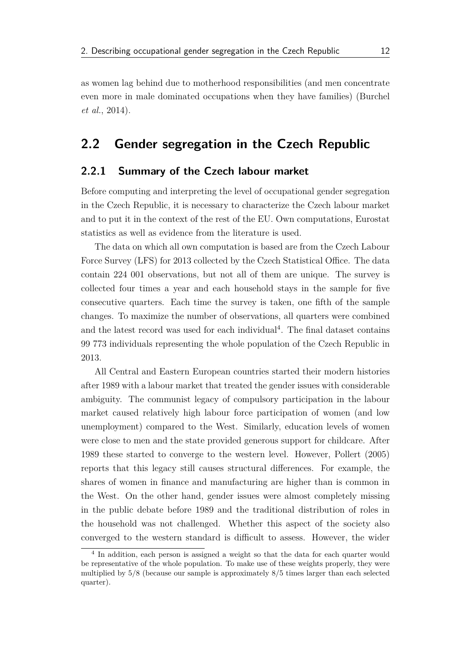as women lag behind due to motherhood responsibilities (and men concentrate even more in male dominated occupations when they have families) [\(Burchel](#page-57-2) *[et al.](#page-57-2)*, [2014\)](#page-57-2).

#### <span id="page-22-0"></span>**2.2 Gender segregation in the Czech Republic**

#### <span id="page-22-1"></span>**2.2.1 Summary of the Czech labour market**

Before computing and interpreting the level of occupational gender segregation in the Czech Republic, it is necessary to characterize the Czech labour market and to put it in the context of the rest of the EU. Own computations, Eurostat statistics as well as evidence from the literature is used.

The data on which all own computation is based are from the Czech Labour Force Survey (LFS) for 2013 collected by the Czech Statistical Office. The data contain 224 001 observations, but not all of them are unique. The survey is collected four times a year and each household stays in the sample for five consecutive quarters. Each time the survey is taken, one fifth of the sample changes. To maximize the number of observations, all quarters were combined and the latest record was used for each individual<sup>[4](#page-22-2)</sup>. The final dataset contains 99 773 individuals representing the whole population of the Czech Republic in 2013.

All Central and Eastern European countries started their modern histories after 1989 with a labour market that treated the gender issues with considerable ambiguity. The communist legacy of compulsory participation in the labour market caused relatively high labour force participation of women (and low unemployment) compared to the West. Similarly, education levels of women were close to men and the state provided generous support for childcare. After 1989 these started to converge to the western level. However, [Pollert](#page-59-6) [\(2005\)](#page-59-6) reports that this legacy still causes structural differences. For example, the shares of women in finance and manufacturing are higher than is common in the West. On the other hand, gender issues were almost completely missing in the public debate before 1989 and the traditional distribution of roles in the household was not challenged. Whether this aspect of the society also converged to the western standard is difficult to assess. However, the wider

<span id="page-22-2"></span><sup>&</sup>lt;sup>4</sup> In addition, each person is assigned a weight so that the data for each quarter would be representative of the whole population. To make use of these weights properly, they were multiplied by 5*/*8 (because our sample is approximately 8*/*5 times larger than each selected quarter).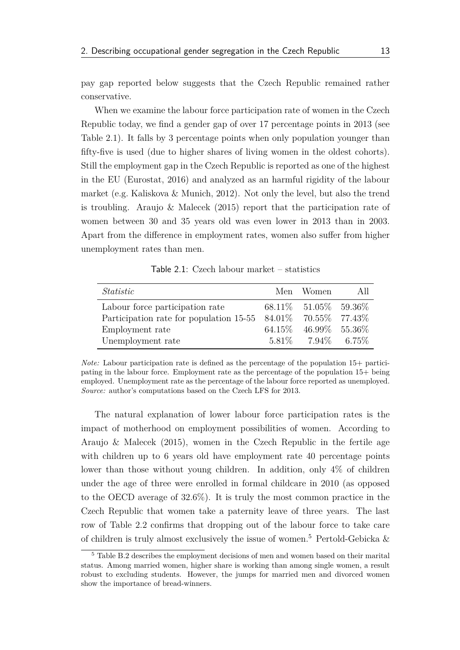pay gap reported below suggests that the Czech Republic remained rather conservative.

When we examine the labour force participation rate of women in the Czech Republic today, we find a gender gap of over 17 percentage points in 2013 (see [Table 2.1\)](#page-23-0). It falls by 3 percentage points when only population younger than fifty-five is used (due to higher shares of living women in the oldest cohorts). Still the employment gap in the Czech Republic is reported as one of the highest in the EU [\(Eurostat,](#page-58-2) [2016\)](#page-58-2) and analyzed as an harmful rigidity of the labour market (e.g. [Kaliskova & Munich,](#page-58-3) [2012\)](#page-58-3). Not only the level, but also the trend is troubling. [Araujo & Malecek](#page-56-6) [\(2015\)](#page-56-6) report that the participation rate of women between 30 and 35 years old was even lower in 2013 than in 2003. Apart from the difference in employment rates, women also suffer from higher unemployment rates than men.

Table 2.1: Czech labour market – statistics

<span id="page-23-0"></span>

| Statistic                                         | Men Women                  | -A11 |
|---------------------------------------------------|----------------------------|------|
| Labour force participation rate                   | 68.11\% 51.05\% 59.36\%    |      |
| Participation rate for population $15-55$ 84.01\% | 70.55\%77.43\%             |      |
| Employment rate                                   | 64.15\% 46.99\% 55.36\%    |      |
| Unemployment rate                                 | $5.81\%$ $7.94\%$ $6.75\%$ |      |

*Note:* Labour participation rate is defined as the percentage of the population 15+ participating in the labour force. Employment rate as the percentage of the population 15+ being employed. Unemployment rate as the percentage of the labour force reported as unemployed. *Source:* author's computations based on the Czech LFS for 2013.

The natural explanation of lower labour force participation rates is the impact of motherhood on employment possibilities of women. According to [Araujo & Malecek](#page-56-6) [\(2015\)](#page-56-6), women in the Czech Republic in the fertile age with children up to 6 years old have employment rate 40 percentage points lower than those without young children. In addition, only 4% of children under the age of three were enrolled in formal childcare in 2010 (as opposed to the OECD average of 32.6%). It is truly the most common practice in the Czech Republic that women take a paternity leave of three years. The last row of [Table 2.2](#page-24-0) confirms that dropping out of the labour force to take care of children is truly almost exclusively the issue of women.<sup>[5](#page-23-1)</sup> Pertold-Gebicka  $\&$ 

<span id="page-23-1"></span><sup>5</sup> [Table B.2](#page-66-2) [describes the employment decisions of men and women based on their marital](#page-59-7) [status. Among married women, higher share is working than among single women, a result](#page-59-7) [robust to excluding students. However, the jumps for married men and divorced women](#page-59-7) [show the importance of bread-winners.](#page-59-7)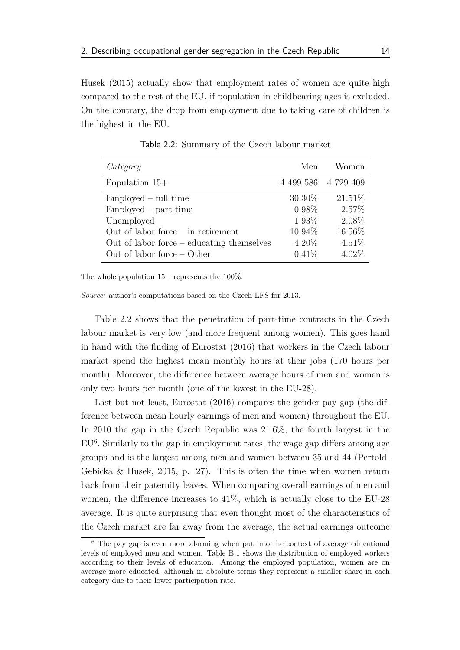[Husek](#page-59-7) [\(2015\)](#page-59-7) actually show that employment rates of women are quite high compared to the rest of the EU, if population in childbearing ages is excluded. On the contrary, the drop from employment due to taking care of children is the highest in the EU.

<span id="page-24-0"></span>

| Category                                                                    | Men                 | Women             |
|-----------------------------------------------------------------------------|---------------------|-------------------|
| Population $15+$                                                            | 4 499 586 4 729 409 |                   |
| $Emploved - full time$                                                      | 30.30%              | $21.51\%$         |
| $Emploved - part time$<br>Unemployed                                        | $0.98\%$<br>1.93%   | 2.57%<br>2.08%    |
| Out of labor force $-$ in retirement                                        | 10.94%              | 16.56%            |
| Out of labor force $-$ educating themselves<br>Out of labor force $-$ Other | $4.20\%$<br>0.41%   | 4.51%<br>$4.02\%$ |

Table 2.2: Summary of the Czech labour market

The whole population  $15+$  represents the 100%.

*Source:* author's computations based on the Czech LFS for 2013.

[Table 2.2](#page-24-0) shows that the penetration of part-time contracts in the Czech labour market is very low (and more frequent among women). This goes hand in hand with the finding of [Eurostat](#page-58-2) [\(2016\)](#page-58-2) that workers in the Czech labour market spend the highest mean monthly hours at their jobs (170 hours per month). Moreover, the difference between average hours of men and women is only two hours per month (one of the lowest in the EU-28).

Last but not least, [Eurostat](#page-58-2) [\(2016\)](#page-58-2) compares the gender pay gap (the difference between mean hourly earnings of men and women) throughout the EU. In 2010 the gap in the Czech Republic was 21.6%, the fourth largest in the  $EU<sup>6</sup>$  $EU<sup>6</sup>$  $EU<sup>6</sup>$ . Similarly to the gap in employment rates, the wage gap differs among age groups and is the largest among men and women between 35 and 44 [\(Pertold-](#page-59-7)[Gebicka & Husek,](#page-59-7) [2015,](#page-59-7) p. 27). This is often the time when women return back from their paternity leaves. When comparing overall earnings of men and women, the difference increases to 41%, which is actually close to the EU-28 average. It is quite surprising that even thought most of the characteristics of the Czech market are far away from the average, the actual earnings outcome

<span id="page-24-1"></span><sup>6</sup> The pay gap is even more alarming when put into the context of average educational levels of employed men and women. [Table B.1](#page-66-1) shows the distribution of employed workers according to their levels of education. Among the employed population, women are on average more educated, although in absolute terms they represent a smaller share in each category due to their lower participation rate.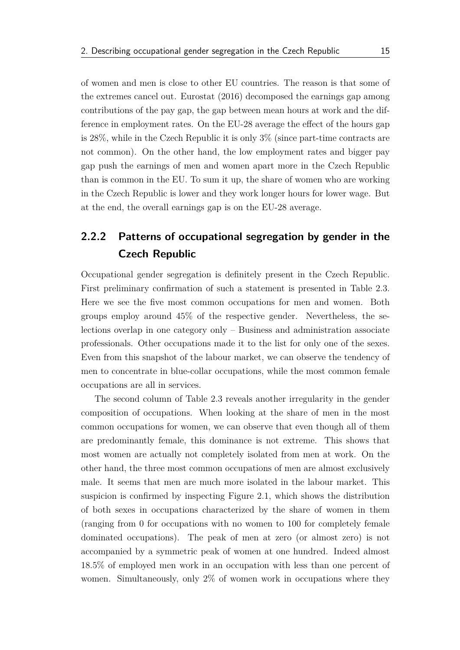of women and men is close to other EU countries. The reason is that some of the extremes cancel out. [Eurostat](#page-58-2) [\(2016\)](#page-58-2) decomposed the earnings gap among contributions of the pay gap, the gap between mean hours at work and the difference in employment rates. On the EU-28 average the effect of the hours gap is 28%, while in the Czech Republic it is only 3% (since part-time contracts are not common). On the other hand, the low employment rates and bigger pay gap push the earnings of men and women apart more in the Czech Republic than is common in the EU. To sum it up, the share of women who are working in the Czech Republic is lower and they work longer hours for lower wage. But at the end, the overall earnings gap is on the EU-28 average.

### <span id="page-25-0"></span>**2.2.2 Patterns of occupational segregation by gender in the Czech Republic**

Occupational gender segregation is definitely present in the Czech Republic. First preliminary confirmation of such a statement is presented in [Table 2.3.](#page-26-0) Here we see the five most common occupations for men and women. Both groups employ around 45% of the respective gender. Nevertheless, the selections overlap in one category only – Business and administration associate professionals. Other occupations made it to the list for only one of the sexes. Even from this snapshot of the labour market, we can observe the tendency of men to concentrate in blue-collar occupations, while the most common female occupations are all in services.

The second column of [Table 2.3](#page-26-0) reveals another irregularity in the gender composition of occupations. When looking at the share of men in the most common occupations for women, we can observe that even though all of them are predominantly female, this dominance is not extreme. This shows that most women are actually not completely isolated from men at work. On the other hand, the three most common occupations of men are almost exclusively male. It seems that men are much more isolated in the labour market. This suspicion is confirmed by inspecting [Figure 2.1,](#page-27-0) which shows the distribution of both sexes in occupations characterized by the share of women in them (ranging from 0 for occupations with no women to 100 for completely female dominated occupations). The peak of men at zero (or almost zero) is not accompanied by a symmetric peak of women at one hundred. Indeed almost 18.5% of employed men work in an occupation with less than one percent of women. Simultaneously, only 2% of women work in occupations where they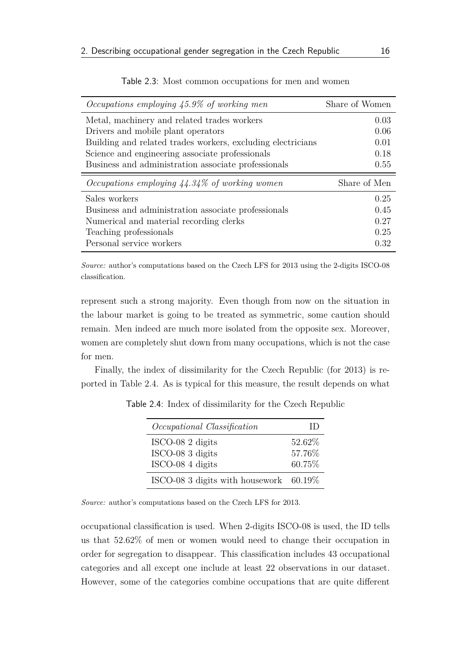<span id="page-26-0"></span>

| Occupations employing $45.9\%$ of working men                      | Share of Women |
|--------------------------------------------------------------------|----------------|
| Metal, machinery and related trades workers                        | 0.03           |
| Drivers and mobile plant operators                                 | 0.06           |
| Building and related trades workers, excluding electricians        | 0.01           |
| Science and engineering associate professionals                    | 0.18           |
| Business and administration associate professionals                | 0.55           |
|                                                                    |                |
| <i>Occupations employing <math>44.34\%</math> of working women</i> | Share of Men   |
| Sales workers                                                      | 0.25           |
| Business and administration associate professionals                | 0.45           |
| Numerical and material recording clerks                            | 0.27           |
| Teaching professionals                                             | 0.25           |

Table 2.3: Most common occupations for men and women

*Source:* author's computations based on the Czech LFS for 2013 using the 2-digits ISCO-08 classification.

represent such a strong majority. Even though from now on the situation in the labour market is going to be treated as symmetric, some caution should remain. Men indeed are much more isolated from the opposite sex. Moreover, women are completely shut down from many occupations, which is not the case for men.

<span id="page-26-1"></span>Finally, the index of dissimilarity for the Czech Republic (for 2013) is reported in [Table 2.4.](#page-26-1) As is typical for this measure, the result depends on what

| Occupational Classification            | $\Box$  |
|----------------------------------------|---------|
| ISCO-08 2 digits                       | 52.62\% |
| ISCO-08 3 digits                       | 57.76%  |
| ISCO-08 4 digits                       | 60.75%  |
| ISCO-08 3 digits with housework 60.19% |         |

Table 2.4: Index of dissimilarity for the Czech Republic

*Source:* author's computations based on the Czech LFS for 2013.

occupational classification is used. When 2-digits ISCO-08 is used, the ID tells us that 52.62% of men or women would need to change their occupation in order for segregation to disappear. This classification includes 43 occupational categories and all except one include at least 22 observations in our dataset. However, some of the categories combine occupations that are quite different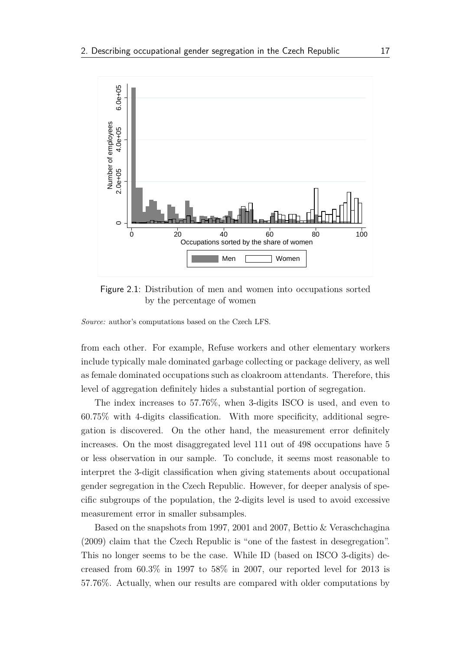<span id="page-27-0"></span>

Figure 2.1: Distribution of men and women into occupations sorted by the percentage of women

*Source:* author's computations based on the Czech LFS.

from each other. For example, Refuse workers and other elementary workers include typically male dominated garbage collecting or package delivery, as well as female dominated occupations such as cloakroom attendants. Therefore, this level of aggregation definitely hides a substantial portion of segregation.

The index increases to 57.76%, when 3-digits ISCO is used, and even to 60.75% with 4-digits classification. With more specificity, additional segregation is discovered. On the other hand, the measurement error definitely increases. On the most disaggregated level 111 out of 498 occupations have 5 or less observation in our sample. To conclude, it seems most reasonable to interpret the 3-digit classification when giving statements about occupational gender segregation in the Czech Republic. However, for deeper analysis of specific subgroups of the population, the 2-digits level is used to avoid excessive measurement error in smaller subsamples.

Based on the snapshots from 1997, 2001 and 2007, [Bettio & Veraschchagina](#page-56-1) [\(2009\)](#page-56-1) claim that the Czech Republic is "one of the fastest in desegregation". This no longer seems to be the case. While ID (based on ISCO 3-digits) decreased from 60.3% in 1997 to 58% in 2007, our reported level for 2013 is 57.76%. Actually, when our results are compared with older computations by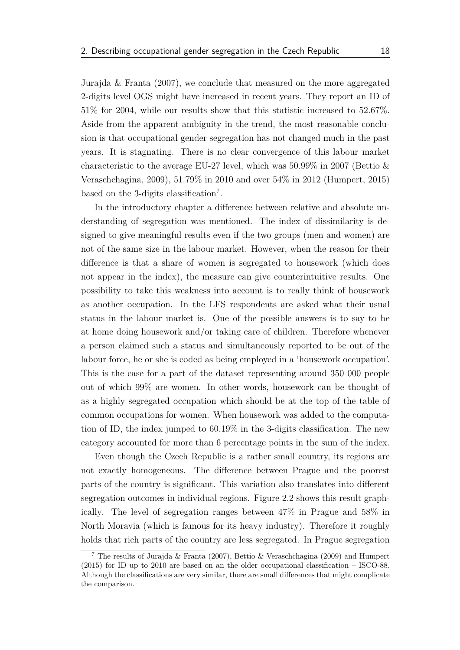[Jurajda & Franta](#page-58-4) [\(2007\)](#page-58-4), we conclude that measured on the more aggregated 2-digits level OGS might have increased in recent years. They report an ID of 51% for 2004, while our results show that this statistic increased to 52.67%. Aside from the apparent ambiguity in the trend, the most reasonable conclusion is that occupational gender segregation has not changed much in the past years. It is stagnating. There is no clear convergence of this labour market characteristic to the average EU-27 level, which was  $50.99\%$  in 2007 [\(Bettio &](#page-56-1) [Veraschchagina,](#page-56-1) [2009\)](#page-56-1), 51.79% in 2010 and over 54% in 2012 [\(Humpert,](#page-58-5) [2015\)](#page-58-5) based on the 3-digits classification[7](#page-28-0) .

In the introductory chapter a difference between relative and absolute understanding of segregation was mentioned. The index of dissimilarity is designed to give meaningful results even if the two groups (men and women) are not of the same size in the labour market. However, when the reason for their difference is that a share of women is segregated to housework (which does not appear in the index), the measure can give counterintuitive results. One possibility to take this weakness into account is to really think of housework as another occupation. In the LFS respondents are asked what their usual status in the labour market is. One of the possible answers is to say to be at home doing housework and/or taking care of children. Therefore whenever a person claimed such a status and simultaneously reported to be out of the labour force, he or she is coded as being employed in a 'housework occupation'. This is the case for a part of the dataset representing around 350 000 people out of which 99% are women. In other words, housework can be thought of as a highly segregated occupation which should be at the top of the table of common occupations for women. When housework was added to the computation of ID, the index jumped to 60.19% in the 3-digits classification. The new category accounted for more than 6 percentage points in the sum of the index.

Even though the Czech Republic is a rather small country, its regions are not exactly homogeneous. The difference between Prague and the poorest parts of the country is significant. This variation also translates into different segregation outcomes in individual regions. [Figure 2.2](#page-29-1) shows this result graphically. The level of segregation ranges between 47% in Prague and 58% in North Moravia (which is famous for its heavy industry). Therefore it roughly holds that rich parts of the country are less segregated. In Prague segregation

<span id="page-28-0"></span><sup>7</sup> The results of [Jurajda & Franta](#page-58-4) [\(2007\)](#page-58-4), [Bettio & Veraschchagina](#page-56-1) [\(2009\)](#page-56-1) and [Humpert](#page-58-5) [\(2015\)](#page-58-5) for ID up to 2010 are based on an the older occupational classification – ISCO-88. Although the classifications are very similar, there are small differences that might complicate the comparison.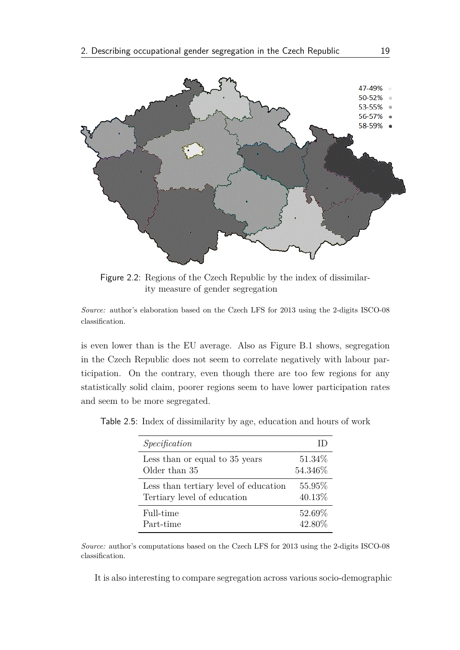<span id="page-29-1"></span>

Figure 2.2: Regions of the Czech Republic by the index of dissimilarity measure of gender segregation

*Source:* author's elaboration based on the Czech LFS for 2013 using the 2-digits ISCO-08 classification.

is even lower than is the EU average. Also as [Figure B.1](#page-70-0) shows, segregation in the Czech Republic does not seem to correlate negatively with labour participation. On the contrary, even though there are too few regions for any statistically solid claim, poorer regions seem to have lower participation rates and seem to be more segregated.

<span id="page-29-0"></span>

| Table 2.5: Index of dissimilarity by age, education and hours of work |  |  |  |  |  |  |
|-----------------------------------------------------------------------|--|--|--|--|--|--|
|-----------------------------------------------------------------------|--|--|--|--|--|--|

| Specification                         |         |
|---------------------------------------|---------|
| Less than or equal to 35 years        | 51.34\% |
| Older than 35                         | 54.346% |
| Less than tertiary level of education | 55.95%  |
| Tertiary level of education           | 40.13%  |
| Full-time                             | 52.69%  |
| Part-time                             | 42.80%  |

*Source:* author's computations based on the Czech LFS for 2013 using the 2-digits ISCO-08 classification.

It is also interesting to compare segregation across various socio-demographic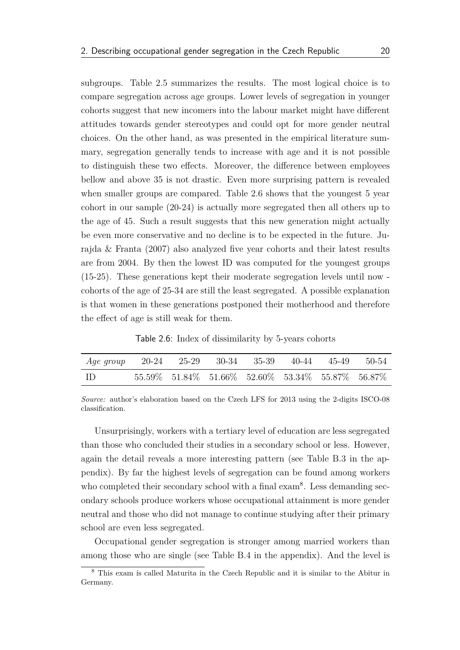subgroups. [Table 2.5](#page-29-0) summarizes the results. The most logical choice is to compare segregation across age groups. Lower levels of segregation in younger cohorts suggest that new incomers into the labour market might have different attitudes towards gender stereotypes and could opt for more gender neutral choices. On the other hand, as was presented in the empirical literature summary, segregation generally tends to increase with age and it is not possible to distinguish these two effects. Moreover, the difference between employees bellow and above 35 is not drastic. Even more surprising pattern is revealed when smaller groups are compared. [Table 2.6](#page-30-0) shows that the youngest 5 year cohort in our sample (20-24) is actually more segregated then all others up to the age of 45. Such a result suggests that this new generation might actually be even more conservative and no decline is to be expected in the future. [Ju](#page-58-4)[rajda & Franta](#page-58-4) [\(2007\)](#page-58-4) also analyzed five year cohorts and their latest results are from 2004. By then the lowest ID was computed for the youngest groups (15-25). These generations kept their moderate segregation levels until now cohorts of the age of 25-34 are still the least segregated. A possible explanation is that women in these generations postponed their motherhood and therefore the effect of age is still weak for them.

Table 2.6: Index of dissimilarity by 5-years cohorts

<span id="page-30-0"></span>

| Age group 20-24 25-29 30-34 35-39 40-44 45-49 50-54 |                                                                       |  |  |  |
|-----------------------------------------------------|-----------------------------------------------------------------------|--|--|--|
| - ID                                                | $55.59\%$ $51.84\%$ $51.66\%$ $52.60\%$ $53.34\%$ $55.87\%$ $56.87\%$ |  |  |  |

*Source:* author's elaboration based on the Czech LFS for 2013 using the 2-digits ISCO-08 classification.

Unsurprisingly, workers with a tertiary level of education are less segregated than those who concluded their studies in a secondary school or less. However, again the detail reveals a more interesting pattern (see [Table B.3](#page-67-0) in the appendix). By far the highest levels of segregation can be found among workers who completed their secondary school with a final exam<sup>[8](#page-30-1)</sup>. Less demanding secondary schools produce workers whose occupational attainment is more gender neutral and those who did not manage to continue studying after their primary school are even less segregated.

Occupational gender segregation is stronger among married workers than among those who are single (see [Table B.4](#page-67-1) in the appendix). And the level is

<span id="page-30-1"></span><sup>8</sup> This exam is called Maturita in the Czech Republic and it is similar to the Abitur in Germany.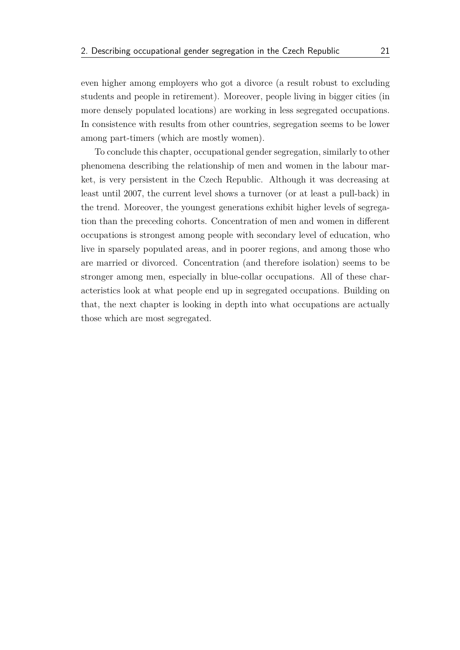even higher among employers who got a divorce (a result robust to excluding students and people in retirement). Moreover, people living in bigger cities (in more densely populated locations) are working in less segregated occupations. In consistence with results from other countries, segregation seems to be lower among part-timers (which are mostly women).

To conclude this chapter, occupational gender segregation, similarly to other phenomena describing the relationship of men and women in the labour market, is very persistent in the Czech Republic. Although it was decreasing at least until 2007, the current level shows a turnover (or at least a pull-back) in the trend. Moreover, the youngest generations exhibit higher levels of segregation than the preceding cohorts. Concentration of men and women in different occupations is strongest among people with secondary level of education, who live in sparsely populated areas, and in poorer regions, and among those who are married or divorced. Concentration (and therefore isolation) seems to be stronger among men, especially in blue-collar occupations. All of these characteristics look at what people end up in segregated occupations. Building on that, the next chapter is looking in depth into what occupations are actually those which are most segregated.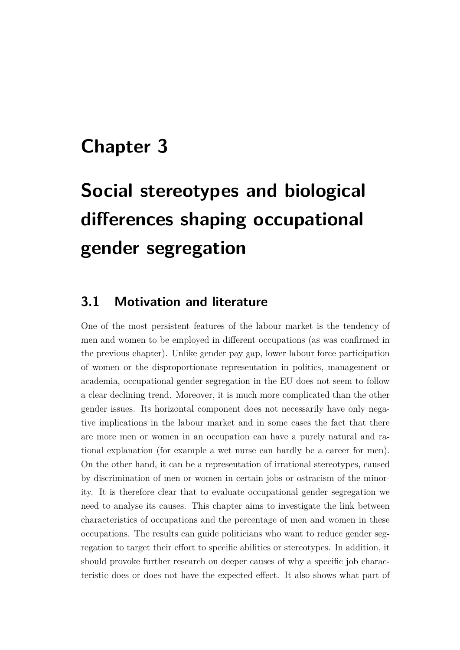## <span id="page-32-0"></span>**Chapter 3**

# **Social stereotypes and biological differences shaping occupational gender segregation**

#### <span id="page-32-1"></span>**3.1 Motivation and literature**

One of the most persistent features of the labour market is the tendency of men and women to be employed in different occupations (as was confirmed in the previous chapter). Unlike gender pay gap, lower labour force participation of women or the disproportionate representation in politics, management or academia, occupational gender segregation in the EU does not seem to follow a clear declining trend. Moreover, it is much more complicated than the other gender issues. Its horizontal component does not necessarily have only negative implications in the labour market and in some cases the fact that there are more men or women in an occupation can have a purely natural and rational explanation (for example a wet nurse can hardly be a career for men). On the other hand, it can be a representation of irrational stereotypes, caused by discrimination of men or women in certain jobs or ostracism of the minority. It is therefore clear that to evaluate occupational gender segregation we need to analyse its causes. This chapter aims to investigate the link between characteristics of occupations and the percentage of men and women in these occupations. The results can guide politicians who want to reduce gender segregation to target their effort to specific abilities or stereotypes. In addition, it should provoke further research on deeper causes of why a specific job characteristic does or does not have the expected effect. It also shows what part of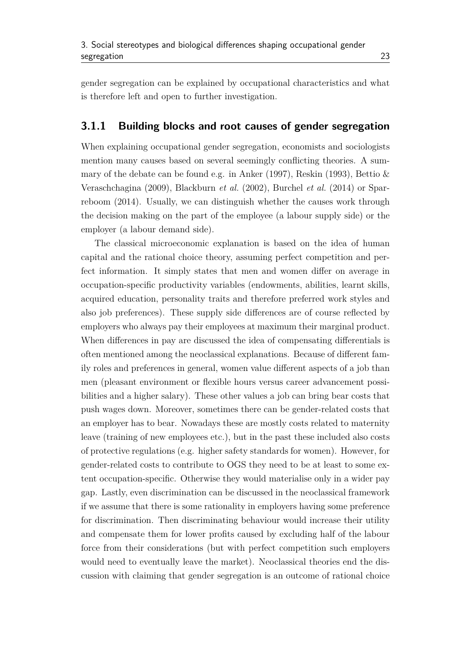gender segregation can be explained by occupational characteristics and what is therefore left and open to further investigation.

#### <span id="page-33-0"></span>**3.1.1 Building blocks and root causes of gender segregation**

When explaining occupational gender segregation, economists and sociologists mention many causes based on several seemingly conflicting theories. A summary of the debate can be found e.g. in [Anker](#page-56-2) [\(1997\)](#page-56-2), [Reskin](#page-59-3) [\(1993\)](#page-59-3), [Bettio &](#page-56-1) [Veraschchagina](#page-56-1) [\(2009\)](#page-56-1), [Blackburn](#page-56-5) *et al.* [\(2002\)](#page-56-5), [Burchel](#page-57-2) *et al.* [\(2014\)](#page-57-2) or [Spar](#page-59-0)[reboom](#page-59-0) [\(2014\)](#page-59-0). Usually, we can distinguish whether the causes work through the decision making on the part of the employee (a labour supply side) or the employer (a labour demand side).

The classical microeconomic explanation is based on the idea of human capital and the rational choice theory, assuming perfect competition and perfect information. It simply states that men and women differ on average in occupation-specific productivity variables (endowments, abilities, learnt skills, acquired education, personality traits and therefore preferred work styles and also job preferences). These supply side differences are of course reflected by employers who always pay their employees at maximum their marginal product. When differences in pay are discussed the idea of compensating differentials is often mentioned among the neoclassical explanations. Because of different family roles and preferences in general, women value different aspects of a job than men (pleasant environment or flexible hours versus career advancement possibilities and a higher salary). These other values a job can bring bear costs that push wages down. Moreover, sometimes there can be gender-related costs that an employer has to bear. Nowadays these are mostly costs related to maternity leave (training of new employees etc.), but in the past these included also costs of protective regulations (e.g. higher safety standards for women). However, for gender-related costs to contribute to OGS they need to be at least to some extent occupation-specific. Otherwise they would materialise only in a wider pay gap. Lastly, even discrimination can be discussed in the neoclassical framework if we assume that there is some rationality in employers having some preference for discrimination. Then discriminating behaviour would increase their utility and compensate them for lower profits caused by excluding half of the labour force from their considerations (but with perfect competition such employers would need to eventually leave the market). Neoclassical theories end the discussion with claiming that gender segregation is an outcome of rational choice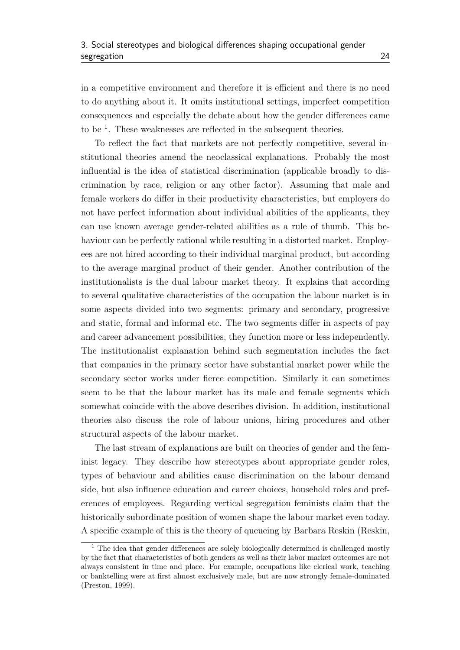in a competitive environment and therefore it is efficient and there is no need to do anything about it. It omits institutional settings, imperfect competition consequences and especially the debate about how the gender differences came to be  $<sup>1</sup>$  $<sup>1</sup>$  $<sup>1</sup>$ . These weaknesses are reflected in the subsequent theories.</sup>

To reflect the fact that markets are not perfectly competitive, several institutional theories amend the neoclassical explanations. Probably the most influential is the idea of statistical discrimination (applicable broadly to discrimination by race, religion or any other factor). Assuming that male and female workers do differ in their productivity characteristics, but employers do not have perfect information about individual abilities of the applicants, they can use known average gender-related abilities as a rule of thumb. This behaviour can be perfectly rational while resulting in a distorted market. Employees are not hired according to their individual marginal product, but according to the average marginal product of their gender. Another contribution of the institutionalists is the dual labour market theory. It explains that according to several qualitative characteristics of the occupation the labour market is in some aspects divided into two segments: primary and secondary, progressive and static, formal and informal etc. The two segments differ in aspects of pay and career advancement possibilities, they function more or less independently. The institutionalist explanation behind such segmentation includes the fact that companies in the primary sector have substantial market power while the secondary sector works under fierce competition. Similarly it can sometimes seem to be that the labour market has its male and female segments which somewhat coincide with the above describes division. In addition, institutional theories also discuss the role of labour unions, hiring procedures and other structural aspects of the labour market.

The last stream of explanations are built on theories of gender and the feminist legacy. They describe how stereotypes about appropriate gender roles, types of behaviour and abilities cause discrimination on the labour demand side, but also influence education and career choices, household roles and preferences of employees. Regarding vertical segregation feminists claim that the historically subordinate position of women shape the labour market even today. A specific example of this is the theory of queueing by Barbara Reskin [\(Reskin,](#page-59-3)

<span id="page-34-0"></span> $<sup>1</sup>$  The idea that gender differences are solely biologically determined is challenged mostly</sup> by the fact that characteristics of both genders as well as their labor market outcomes are not always consistent in time and place. For example, occupations like clerical work, teaching or banktelling were at first almost exclusively male, but are now strongly female-dominated [\(Preston,](#page-59-2) [1999\)](#page-59-2).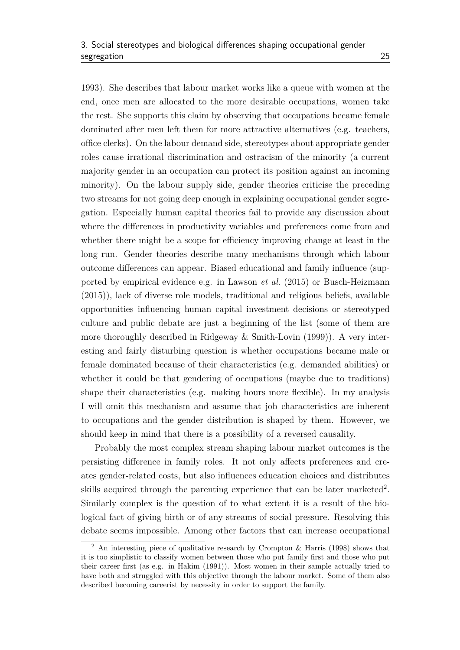[1993\)](#page-59-3). She describes that labour market works like a queue with women at the end, once men are allocated to the more desirable occupations, women take the rest. She supports this claim by observing that occupations became female dominated after men left them for more attractive alternatives (e.g. teachers, office clerks). On the labour demand side, stereotypes about appropriate gender roles cause irrational discrimination and ostracism of the minority (a current majority gender in an occupation can protect its position against an incoming minority). On the labour supply side, gender theories criticise the preceding two streams for not going deep enough in explaining occupational gender segregation. Especially human capital theories fail to provide any discussion about where the differences in productivity variables and preferences come from and whether there might be a scope for efficiency improving change at least in the long run. Gender theories describe many mechanisms through which labour outcome differences can appear. Biased educational and family influence (supported by empirical evidence e.g. in [Lawson](#page-58-6) *et al.* [\(2015\)](#page-58-6) or [Busch-Heizmann](#page-57-8) [\(2015\)](#page-57-8)), lack of diverse role models, traditional and religious beliefs, available opportunities influencing human capital investment decisions or stereotyped culture and public debate are just a beginning of the list (some of them are more thoroughly described in [Ridgeway & Smith-Lovin](#page-59-8) [\(1999\)](#page-59-8)). A very interesting and fairly disturbing question is whether occupations became male or female dominated because of their characteristics (e.g. demanded abilities) or whether it could be that gendering of occupations (maybe due to traditions) shape their characteristics (e.g. making hours more flexible). In my analysis I will omit this mechanism and assume that job characteristics are inherent to occupations and the gender distribution is shaped by them. However, we should keep in mind that there is a possibility of a reversed causality.

Probably the most complex stream shaping labour market outcomes is the persisting difference in family roles. It not only affects preferences and creates gender-related costs, but also influences education choices and distributes skills acquired through the parenting experience that can be later marketed<sup>[2](#page-35-0)</sup>. Similarly complex is the question of to what extent it is a result of the biological fact of giving birth or of any streams of social pressure. Resolving this debate seems impossible. Among other factors that can increase occupational

<span id="page-35-0"></span><sup>2</sup> An interesting piece of qualitative research by [Crompton & Harris](#page-57-9) [\(1998\)](#page-57-9) shows that it is too simplistic to classify women between those who put family first and those who put their career first (as e.g. in [Hakim](#page-58-7) [\(1991\)](#page-58-7)). Most women in their sample actually tried to have both and struggled with this objective through the labour market. Some of them also described becoming careerist by necessity in order to support the family.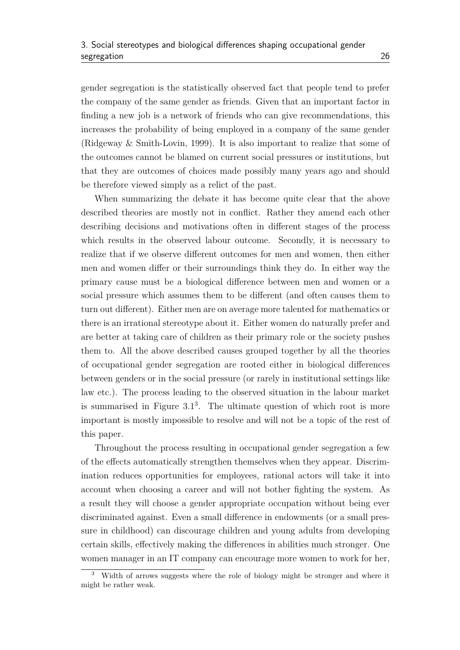gender segregation is the statistically observed fact that people tend to prefer the company of the same gender as friends. Given that an important factor in finding a new job is a network of friends who can give recommendations, this increases the probability of being employed in a company of the same gender [\(Ridgeway & Smith-Lovin,](#page-59-8) [1999\)](#page-59-8). It is also important to realize that some of the outcomes cannot be blamed on current social pressures or institutions, but that they are outcomes of choices made possibly many years ago and should be therefore viewed simply as a relict of the past.

When summarizing the debate it has become quite clear that the above described theories are mostly not in conflict. Rather they amend each other describing decisions and motivations often in different stages of the process which results in the observed labour outcome. Secondly, it is necessary to realize that if we observe different outcomes for men and women, then either men and women differ or their surroundings think they do. In either way the primary cause must be a biological difference between men and women or a social pressure which assumes them to be different (and often causes them to turn out different). Either men are on average more talented for mathematics or there is an irrational stereotype about it. Either women do naturally prefer and are better at taking care of children as their primary role or the society pushes them to. All the above described causes grouped together by all the theories of occupational gender segregation are rooted either in biological differences between genders or in the social pressure (or rarely in institutional settings like law etc.). The process leading to the observed situation in the labour market is summarised in [Figure 3.1](#page-37-0)[3](#page-36-0) . The ultimate question of which root is more important is mostly impossible to resolve and will not be a topic of the rest of this paper.

Throughout the process resulting in occupational gender segregation a few of the effects automatically strengthen themselves when they appear. Discrimination reduces opportunities for employees, rational actors will take it into account when choosing a career and will not bother fighting the system. As a result they will choose a gender appropriate occupation without being ever discriminated against. Even a small difference in endowments (or a small pressure in childhood) can discourage children and young adults from developing certain skills, effectively making the differences in abilities much stronger. One women manager in an IT company can encourage more women to work for her,

<span id="page-36-0"></span><sup>3</sup> Width of arrows suggests where the role of biology might be stronger and where it might be rather weak.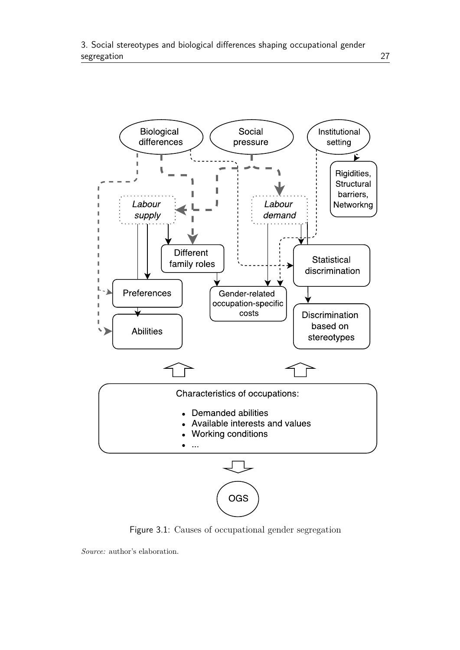<span id="page-37-0"></span>

Figure 3.1: Causes of occupational gender segregation

*Source:* author's elaboration.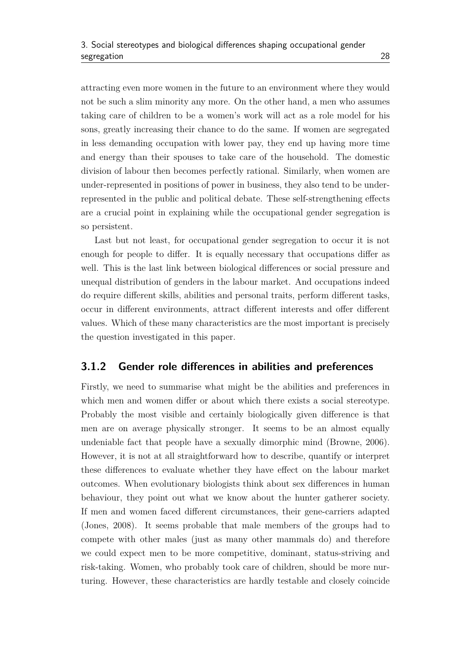attracting even more women in the future to an environment where they would not be such a slim minority any more. On the other hand, a men who assumes taking care of children to be a women's work will act as a role model for his sons, greatly increasing their chance to do the same. If women are segregated in less demanding occupation with lower pay, they end up having more time and energy than their spouses to take care of the household. The domestic division of labour then becomes perfectly rational. Similarly, when women are under-represented in positions of power in business, they also tend to be underrepresented in the public and political debate. These self-strengthening effects are a crucial point in explaining while the occupational gender segregation is so persistent.

Last but not least, for occupational gender segregation to occur it is not enough for people to differ. It is equally necessary that occupations differ as well. This is the last link between biological differences or social pressure and unequal distribution of genders in the labour market. And occupations indeed do require different skills, abilities and personal traits, perform different tasks, occur in different environments, attract different interests and offer different values. Which of these many characteristics are the most important is precisely the question investigated in this paper.

#### <span id="page-38-0"></span>**3.1.2 Gender role differences in abilities and preferences**

Firstly, we need to summarise what might be the abilities and preferences in which men and women differ or about which there exists a social stereotype. Probably the most visible and certainly biologically given difference is that men are on average physically stronger. It seems to be an almost equally undeniable fact that people have a sexually dimorphic mind [\(Browne,](#page-57-10) [2006\)](#page-57-10). However, it is not at all straightforward how to describe, quantify or interpret these differences to evaluate whether they have effect on the labour market outcomes. When evolutionary biologists think about sex differences in human behaviour, they point out what we know about the hunter gatherer society. If men and women faced different circumstances, their gene-carriers adapted [\(Jones,](#page-58-8) [2008\)](#page-58-8). It seems probable that male members of the groups had to compete with other males (just as many other mammals do) and therefore we could expect men to be more competitive, dominant, status-striving and risk-taking. Women, who probably took care of children, should be more nurturing. However, these characteristics are hardly testable and closely coincide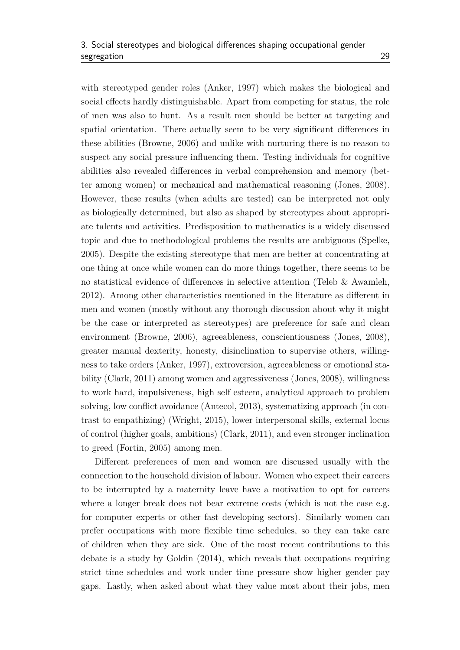with stereotyped gender roles [\(Anker,](#page-56-2) [1997\)](#page-56-2) which makes the biological and social effects hardly distinguishable. Apart from competing for status, the role of men was also to hunt. As a result men should be better at targeting and spatial orientation. There actually seem to be very significant differences in these abilities [\(Browne,](#page-57-10) [2006\)](#page-57-10) and unlike with nurturing there is no reason to suspect any social pressure influencing them. Testing individuals for cognitive abilities also revealed differences in verbal comprehension and memory (better among women) or mechanical and mathematical reasoning [\(Jones,](#page-58-8) [2008\)](#page-58-8). However, these results (when adults are tested) can be interpreted not only as biologically determined, but also as shaped by stereotypes about appropriate talents and activities. Predisposition to mathematics is a widely discussed topic and due to methodological problems the results are ambiguous [\(Spelke,](#page-59-9) [2005\)](#page-59-9). Despite the existing stereotype that men are better at concentrating at one thing at once while women can do more things together, there seems to be no statistical evidence of differences in selective attention [\(Teleb & Awamleh,](#page-59-10) [2012\)](#page-59-10). Among other characteristics mentioned in the literature as different in men and women (mostly without any thorough discussion about why it might be the case or interpreted as stereotypes) are preference for safe and clean environment [\(Browne,](#page-57-10) [2006\)](#page-57-10), agreeableness, conscientiousness [\(Jones,](#page-58-8) [2008\)](#page-58-8), greater manual dexterity, honesty, disinclination to supervise others, willingness to take orders [\(Anker,](#page-56-2) [1997\)](#page-56-2), extroversion, agreeableness or emotional stability [\(Clark,](#page-57-11) [2011\)](#page-57-11) among women and aggressiveness [\(Jones,](#page-58-8) [2008\)](#page-58-8), willingness to work hard, impulsiveness, high self esteem, analytical approach to problem solving, low conflict avoidance [\(Antecol,](#page-56-7) [2013\)](#page-56-7), systematizing approach (in contrast to empathizing) [\(Wright,](#page-59-11) [2015\)](#page-59-11), lower interpersonal skills, external locus of control (higher goals, ambitions) [\(Clark,](#page-57-11) [2011\)](#page-57-11), and even stronger inclination to greed [\(Fortin,](#page-58-9) [2005\)](#page-58-9) among men.

Different preferences of men and women are discussed usually with the connection to the household division of labour. Women who expect their careers to be interrupted by a maternity leave have a motivation to opt for careers where a longer break does not bear extreme costs (which is not the case e.g. for computer experts or other fast developing sectors). Similarly women can prefer occupations with more flexible time schedules, so they can take care of children when they are sick. One of the most recent contributions to this debate is a study by [Goldin](#page-58-10) [\(2014\)](#page-58-10), which reveals that occupations requiring strict time schedules and work under time pressure show higher gender pay gaps. Lastly, when asked about what they value most about their jobs, men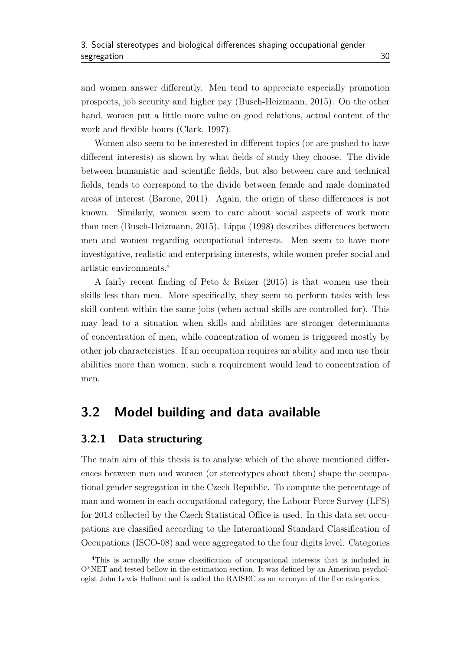and women answer differently. Men tend to appreciate especially promotion prospects, job security and higher pay [\(Busch-Heizmann,](#page-57-8) [2015\)](#page-57-8). On the other hand, women put a little more value on good relations, actual content of the work and flexible hours [\(Clark,](#page-57-12) [1997\)](#page-57-12).

Women also seem to be interested in different topics (or are pushed to have different interests) as shown by what fields of study they choose. The divide between humanistic and scientific fields, but also between care and technical fields, tends to correspond to the divide between female and male dominated areas of interest [\(Barone,](#page-56-8) [2011\)](#page-56-8). Again, the origin of these differences is not known. Similarly, women seem to care about social aspects of work more than men [\(Busch-Heizmann,](#page-57-8) [2015\)](#page-57-8). [Lippa](#page-58-11) [\(1998\)](#page-58-11) describes differences between men and women regarding occupational interests. Men seem to have more investigative, realistic and enterprising interests, while women prefer social and artistic environments.[4](#page-40-2)

A fairly recent finding of [Peto & Reizer](#page-59-12) [\(2015\)](#page-59-12) is that women use their skills less than men. More specifically, they seem to perform tasks with less skill content within the same jobs (when actual skills are controlled for). This may lead to a situation when skills and abilities are stronger determinants of concentration of men, while concentration of women is triggered mostly by other job characteristics. If an occupation requires an ability and men use their abilities more than women, such a requirement would lead to concentration of men.

#### <span id="page-40-0"></span>**3.2 Model building and data available**

#### <span id="page-40-1"></span>**3.2.1 Data structuring**

The main aim of this thesis is to analyse which of the above mentioned differences between men and women (or stereotypes about them) shape the occupational gender segregation in the Czech Republic. To compute the percentage of man and women in each occupational category, the Labour Force Survey (LFS) for 2013 collected by the Czech Statistical Office is used. In this data set occupations are classified according to the International Standard Classification of Occupations (ISCO-08) and were aggregated to the four digits level. Categories

<span id="page-40-2"></span><sup>4</sup>This is actually the same classification of occupational interests that is included in O\*NET and tested bellow in the estimation section. It was defined by an American psychologist John Lewis Holland and is called the RAISEC as an acronym of the five categories.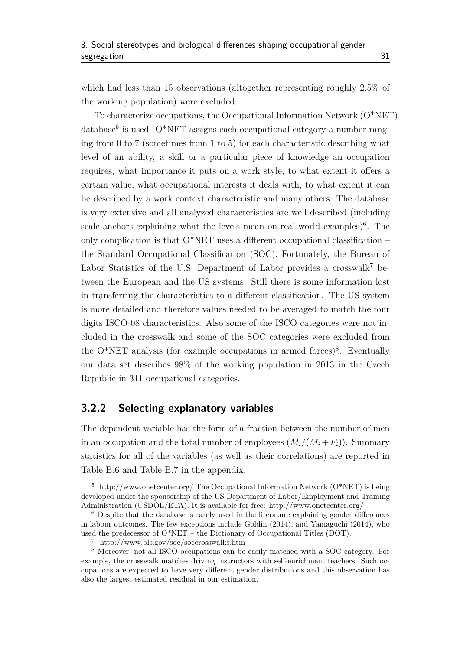which had less than 15 observations (altogether representing roughly 2*.*5% of the working population) were excluded.

To characterize occupations, the Occupational Information Network (O\*NET) database<sup>[5](#page-41-1)</sup> is used. O\*NET assigns each occupational category a number ranging from 0 to 7 (sometimes from 1 to 5) for each characteristic describing what level of an ability, a skill or a particular piece of knowledge an occupation requires, what importance it puts on a work style, to what extent it offers a certain value, what occupational interests it deals with, to what extent it can be described by a work context characteristic and many others. The database is very extensive and all analyzed characteristics are well described (including scale anchors explaining what the levels mean on real world examples)<sup>[6](#page-41-2)</sup>. The only complication is that O\*NET uses a different occupational classification – the Standard Occupational Classification (SOC). Fortunately, the Bureau of Labor Statistics of the U.S. Department of Labor provides a crosswalk<sup>[7](#page-41-3)</sup> between the European and the US systems. Still there is some information lost in transferring the characteristics to a different classification. The US system is more detailed and therefore values needed to be averaged to match the four digits ISCO-08 characteristics. Also some of the ISCO categories were not included in the crosswalk and some of the SOC categories were excluded from the  $O^*NET$  analysis (for example occupations in armed forces)<sup>[8](#page-41-4)</sup>. Eventually our data set describes 98% of the working population in 2013 in the Czech Republic in 311 occupational categories.

#### <span id="page-41-0"></span>**3.2.2 Selecting explanatory variables**

The dependent variable has the form of a fraction between the number of men in an occupation and the total number of employees  $(M_i/(M_i + F_i))$ . Summary statistics for all of the variables (as well as their correlations) are reported in [Table B.6](#page-68-0) and [Table B.7](#page-69-0) in the appendix.

<span id="page-41-1"></span><sup>&</sup>lt;sup>5</sup> http://www.onetcenter.org/ The Occupational Information Network  $(O^*NET)$  is being developed under the sponsorship of the US Department of Labor/Employment and Training Administration (USDOL/ETA). It is available for free: http://www.onetcenter.org/

<span id="page-41-2"></span><sup>6</sup> Despite that the database is rarely used in the literature explaining gender differences in labour outcomes. The few exceptions include [Goldin](#page-58-10) [\(2014\)](#page-58-10), and [Yamaguchi](#page-60-0) [\(2014\)](#page-60-0), who used the predecessor of  $O^*NET$  – the Dictionary of Occupational Titles (DOT).

<span id="page-41-4"></span><span id="page-41-3"></span><sup>7</sup> http://www.bls.gov/soc/soccrosswalks.htm

<sup>8</sup> Moreover, not all ISCO occupations can be easily matched with a SOC category. For example, the crosswalk matches driving instructors with self-enrichment teachers. Such occupations are expected to have very different gender distributions and this observation has also the largest estimated residual in our estimation.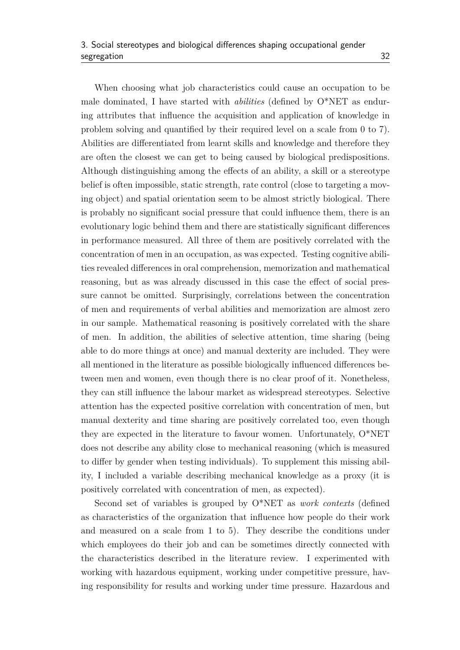When choosing what job characteristics could cause an occupation to be male dominated, I have started with *abilities* (defined by O\*NET as enduring attributes that influence the acquisition and application of knowledge in problem solving and quantified by their required level on a scale from 0 to 7). Abilities are differentiated from learnt skills and knowledge and therefore they are often the closest we can get to being caused by biological predispositions. Although distinguishing among the effects of an ability, a skill or a stereotype belief is often impossible, static strength, rate control (close to targeting a moving object) and spatial orientation seem to be almost strictly biological. There is probably no significant social pressure that could influence them, there is an evolutionary logic behind them and there are statistically significant differences in performance measured. All three of them are positively correlated with the concentration of men in an occupation, as was expected. Testing cognitive abilities revealed differences in oral comprehension, memorization and mathematical reasoning, but as was already discussed in this case the effect of social pressure cannot be omitted. Surprisingly, correlations between the concentration of men and requirements of verbal abilities and memorization are almost zero in our sample. Mathematical reasoning is positively correlated with the share of men. In addition, the abilities of selective attention, time sharing (being able to do more things at once) and manual dexterity are included. They were all mentioned in the literature as possible biologically influenced differences between men and women, even though there is no clear proof of it. Nonetheless, they can still influence the labour market as widespread stereotypes. Selective attention has the expected positive correlation with concentration of men, but manual dexterity and time sharing are positively correlated too, even though they are expected in the literature to favour women. Unfortunately, O\*NET does not describe any ability close to mechanical reasoning (which is measured to differ by gender when testing individuals). To supplement this missing ability, I included a variable describing mechanical knowledge as a proxy (it is positively correlated with concentration of men, as expected).

Second set of variables is grouped by O\*NET as *work contexts* (defined as characteristics of the organization that influence how people do their work and measured on a scale from 1 to 5). They describe the conditions under which employees do their job and can be sometimes directly connected with the characteristics described in the literature review. I experimented with working with hazardous equipment, working under competitive pressure, having responsibility for results and working under time pressure. Hazardous and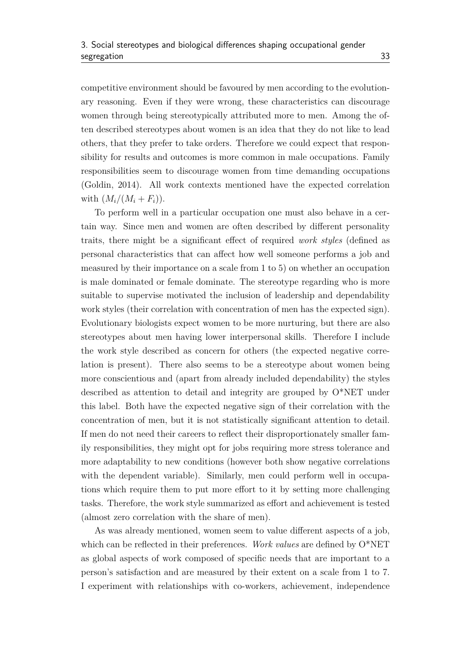competitive environment should be favoured by men according to the evolutionary reasoning. Even if they were wrong, these characteristics can discourage women through being stereotypically attributed more to men. Among the often described stereotypes about women is an idea that they do not like to lead others, that they prefer to take orders. Therefore we could expect that responsibility for results and outcomes is more common in male occupations. Family responsibilities seem to discourage women from time demanding occupations [\(Goldin,](#page-58-10) [2014\)](#page-58-10). All work contexts mentioned have the expected correlation with  $(M_i/(M_i + F_i)).$ 

To perform well in a particular occupation one must also behave in a certain way. Since men and women are often described by different personality traits, there might be a significant effect of required *work styles* (defined as personal characteristics that can affect how well someone performs a job and measured by their importance on a scale from 1 to 5) on whether an occupation is male dominated or female dominate. The stereotype regarding who is more suitable to supervise motivated the inclusion of leadership and dependability work styles (their correlation with concentration of men has the expected sign). Evolutionary biologists expect women to be more nurturing, but there are also stereotypes about men having lower interpersonal skills. Therefore I include the work style described as concern for others (the expected negative correlation is present). There also seems to be a stereotype about women being more conscientious and (apart from already included dependability) the styles described as attention to detail and integrity are grouped by O\*NET under this label. Both have the expected negative sign of their correlation with the concentration of men, but it is not statistically significant attention to detail. If men do not need their careers to reflect their disproportionately smaller family responsibilities, they might opt for jobs requiring more stress tolerance and more adaptability to new conditions (however both show negative correlations with the dependent variable). Similarly, men could perform well in occupations which require them to put more effort to it by setting more challenging tasks. Therefore, the work style summarized as effort and achievement is tested (almost zero correlation with the share of men).

As was already mentioned, women seem to value different aspects of a job, which can be reflected in their preferences. *Work values* are defined by O\*NET as global aspects of work composed of specific needs that are important to a person's satisfaction and are measured by their extent on a scale from 1 to 7. I experiment with relationships with co-workers, achievement, independence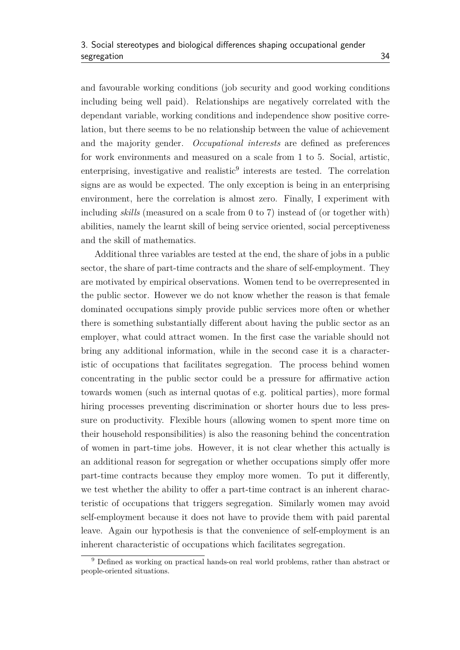and favourable working conditions (job security and good working conditions including being well paid). Relationships are negatively correlated with the dependant variable, working conditions and independence show positive correlation, but there seems to be no relationship between the value of achievement and the majority gender. *Occupational interests* are defined as preferences for work environments and measured on a scale from 1 to 5. Social, artistic, enterprising, investigative and realistic<sup>[9](#page-44-0)</sup> interests are tested. The correlation signs are as would be expected. The only exception is being in an enterprising environment, here the correlation is almost zero. Finally, I experiment with including *skills* (measured on a scale from 0 to 7) instead of (or together with) abilities, namely the learnt skill of being service oriented, social perceptiveness and the skill of mathematics.

Additional three variables are tested at the end, the share of jobs in a public sector, the share of part-time contracts and the share of self-employment. They are motivated by empirical observations. Women tend to be overrepresented in the public sector. However we do not know whether the reason is that female dominated occupations simply provide public services more often or whether there is something substantially different about having the public sector as an employer, what could attract women. In the first case the variable should not bring any additional information, while in the second case it is a characteristic of occupations that facilitates segregation. The process behind women concentrating in the public sector could be a pressure for affirmative action towards women (such as internal quotas of e.g. political parties), more formal hiring processes preventing discrimination or shorter hours due to less pressure on productivity. Flexible hours (allowing women to spent more time on their household responsibilities) is also the reasoning behind the concentration of women in part-time jobs. However, it is not clear whether this actually is an additional reason for segregation or whether occupations simply offer more part-time contracts because they employ more women. To put it differently, we test whether the ability to offer a part-time contract is an inherent characteristic of occupations that triggers segregation. Similarly women may avoid self-employment because it does not have to provide them with paid parental leave. Again our hypothesis is that the convenience of self-employment is an inherent characteristic of occupations which facilitates segregation.

<span id="page-44-0"></span><sup>&</sup>lt;sup>9</sup> Defined as working on practical hands-on real world problems, rather than abstract or people-oriented situations.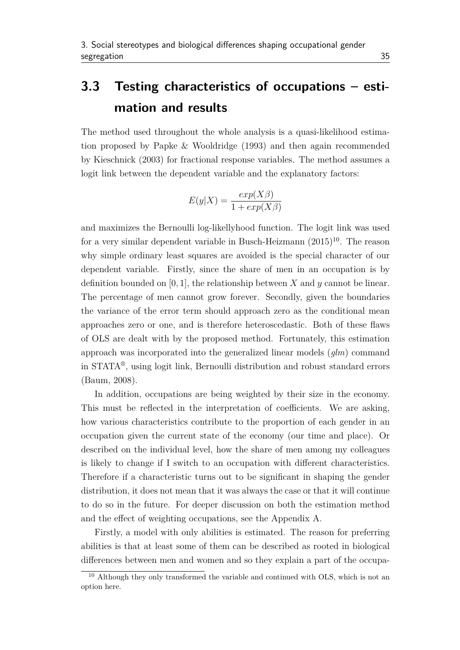### <span id="page-45-0"></span>**3.3 Testing characteristics of occupations – estimation and results**

The method used throughout the whole analysis is a quasi-likelihood estimation proposed by [Papke & Wooldridge](#page-59-13) [\(1993\)](#page-59-13) and then again recommended by [Kieschnick](#page-58-12) [\(2003\)](#page-58-12) for fractional response variables. The method assumes a logit link between the dependent variable and the explanatory factors:

$$
E(y|X) = \frac{exp(X\beta)}{1 + exp(X\beta)}
$$

and maximizes the Bernoulli log-likellyhood function. The logit link was used for a very similar dependent variable in [Busch-Heizmann](#page-57-8) [\(2015\)](#page-57-8) [10](#page-45-1). The reason why simple ordinary least squares are avoided is the special character of our dependent variable. Firstly, since the share of men in an occupation is by definition bounded on [0*,* 1], the relationship between *X* and *y* cannot be linear. The percentage of men cannot grow forever. Secondly, given the boundaries the variance of the error term should approach zero as the conditional mean approaches zero or one, and is therefore heteroscedastic. Both of these flaws of OLS are dealt with by the proposed method. Fortunately, this estimation approach was incorporated into the generalized linear models (*glm*) command in STATA® , using logit link, Bernoulli distribution and robust standard errors [\(Baum,](#page-56-9) [2008\)](#page-56-9).

In addition, occupations are being weighted by their size in the economy. This must be reflected in the interpretation of coefficients. We are asking, how various characteristics contribute to the proportion of each gender in an occupation given the current state of the economy (our time and place). Or described on the individual level, how the share of men among my colleagues is likely to change if I switch to an occupation with different characteristics. Therefore if a characteristic turns out to be significant in shaping the gender distribution, it does not mean that it was always the case or that it will continue to do so in the future. For deeper discussion on both the estimation method and the effect of weighting occupations, see the Appendix A.

Firstly, a model with only abilities is estimated. The reason for preferring abilities is that at least some of them can be described as rooted in biological differences between men and women and so they explain a part of the occupa-

<span id="page-45-1"></span><sup>&</sup>lt;sup>10</sup> Although they only transformed the variable and continued with OLS, which is not an option here.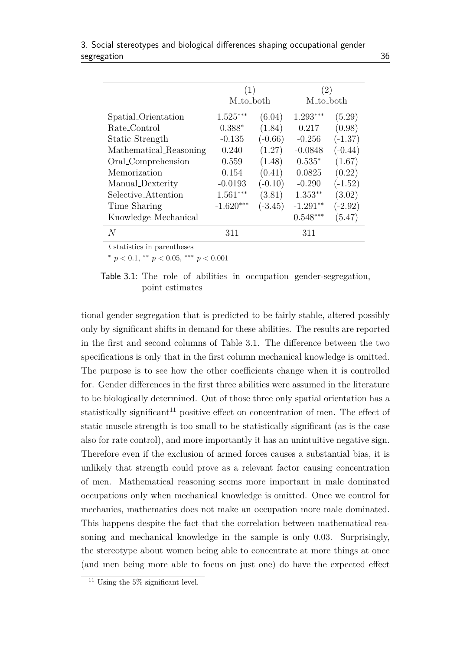<span id="page-46-0"></span>

|                        | (1)                  |           | (2)                  |           |  |
|------------------------|----------------------|-----------|----------------------|-----------|--|
|                        | M <sub>to</sub> both |           | M <sub>to_both</sub> |           |  |
| Spatial_Orientation    | $1.525***$           | (6.04)    | $1.293***$           | (5.29)    |  |
| Rate_Control           | $0.388*$             | (1.84)    | 0.217                | (0.98)    |  |
| Static_Strength        | $-0.135$             | $(-0.66)$ | $-0.256$             | $(-1.37)$ |  |
| Mathematical_Reasoning | 0.240                | (1.27)    | $-0.0848$            | $(-0.44)$ |  |
| Oral_Comprehension     | 0.559                | (1.48)    | $0.535*$             | (1.67)    |  |
| Memorization           | 0.154                | (0.41)    | 0.0825               | (0.22)    |  |
| Manual_Dexterity       | $-0.0193$            | $(-0.10)$ | $-0.290$             | $(-1.52)$ |  |
| Selective_Attention    | $1.561***$           | (3.81)    | $1.353**$            | (3.02)    |  |
| Time_Sharing           | $-1.620***$          | $(-3.45)$ | $-1.291**$           | $(-2.92)$ |  |
| Knowledge_Mechanical   |                      |           | $0.548***$           | (5.47)    |  |
| N                      | 311                  |           | 311                  |           |  |

3. Social stereotypes and biological differences shaping occupational gender segregation 36

*t* statistics in parentheses

<sup>∗</sup> *p <* 0*.*1, ∗∗ *p <* 0*.*05, ∗∗∗ *p <* 0*.*001

Table 3.1: The role of abilities in occupation gender-segregation, point estimates

tional gender segregation that is predicted to be fairly stable, altered possibly only by significant shifts in demand for these abilities. The results are reported in the first and second columns of [Table 3.1.](#page-46-0) The difference between the two specifications is only that in the first column mechanical knowledge is omitted. The purpose is to see how the other coefficients change when it is controlled for. Gender differences in the first three abilities were assumed in the literature to be biologically determined. Out of those three only spatial orientation has a statistically significant<sup>[11](#page-46-1)</sup> positive effect on concentration of men. The effect of static muscle strength is too small to be statistically significant (as is the case also for rate control), and more importantly it has an unintuitive negative sign. Therefore even if the exclusion of armed forces causes a substantial bias, it is unlikely that strength could prove as a relevant factor causing concentration of men. Mathematical reasoning seems more important in male dominated occupations only when mechanical knowledge is omitted. Once we control for mechanics, mathematics does not make an occupation more male dominated. This happens despite the fact that the correlation between mathematical reasoning and mechanical knowledge in the sample is only 0*.*03. Surprisingly, the stereotype about women being able to concentrate at more things at once (and men being more able to focus on just one) do have the expected effect

<span id="page-46-1"></span><sup>11</sup> Using the 5% significant level.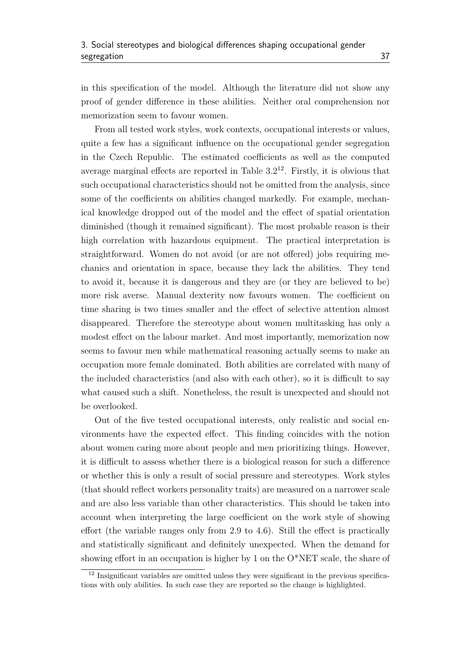in this specification of the model. Although the literature did not show any proof of gender difference in these abilities. Neither oral comprehension nor memorization seem to favour women.

From all tested work styles, work contexts, occupational interests or values, quite a few has a significant influence on the occupational gender segregation in the Czech Republic. The estimated coefficients as well as the computed average marginal effects are reported in Table  $3.2^{12}$  $3.2^{12}$  $3.2^{12}$ . Firstly, it is obvious that such occupational characteristics should not be omitted from the analysis, since some of the coefficients on abilities changed markedly. For example, mechanical knowledge dropped out of the model and the effect of spatial orientation diminished (though it remained significant). The most probable reason is their high correlation with hazardous equipment. The practical interpretation is straightforward. Women do not avoid (or are not offered) jobs requiring mechanics and orientation in space, because they lack the abilities. They tend to avoid it, because it is dangerous and they are (or they are believed to be) more risk averse. Manual dexterity now favours women. The coefficient on time sharing is two times smaller and the effect of selective attention almost disappeared. Therefore the stereotype about women multitasking has only a modest effect on the labour market. And most importantly, memorization now seems to favour men while mathematical reasoning actually seems to make an occupation more female dominated. Both abilities are correlated with many of the included characteristics (and also with each other), so it is difficult to say what caused such a shift. Nonetheless, the result is unexpected and should not be overlooked.

Out of the five tested occupational interests, only realistic and social environments have the expected effect. This finding coincides with the notion about women caring more about people and men prioritizing things. However, it is difficult to assess whether there is a biological reason for such a difference or whether this is only a result of social pressure and stereotypes. Work styles (that should reflect workers personality traits) are measured on a narrower scale and are also less variable than other characteristics. This should be taken into account when interpreting the large coefficient on the work style of showing effort (the variable ranges only from 2*.*9 to 4*.*6). Still the effect is practically and statistically significant and definitely unexpected. When the demand for showing effort in an occupation is higher by 1 on the O\*NET scale, the share of

<span id="page-47-0"></span><sup>&</sup>lt;sup>12</sup> Insignificant variables are omitted unless they were significant in the previous specifications with only abilities. In such case they are reported so the change is highlighted.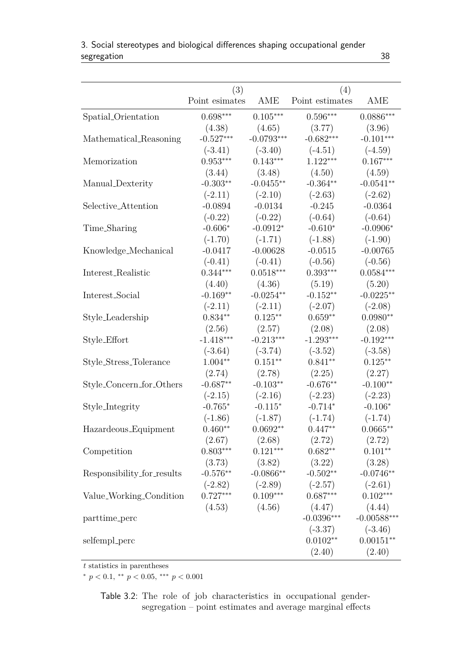<span id="page-48-0"></span>

|                            | (3)               |              | (4)                                     |               |
|----------------------------|-------------------|--------------|-----------------------------------------|---------------|
|                            | Point esimates    | AME          | Point estimates                         | AME           |
| Spatial_Orientation        | $0.698***$        | $0.105***$   | $0.596***$                              | $0.0886***$   |
|                            | (4.38)            | (4.65)       | (3.77)                                  | (3.96)        |
| Mathematical Reasoning     | $-0.527***$       | $-0.0793***$ | $-0.682***$                             | $-0.101***$   |
|                            | $(-3.41)$         | $(-3.40)$    | $(-4.51)$                               | $(-4.59)$     |
| Memorization               | $0.953***$        | $0.143***$   | $1.122***$                              | $0.167***$    |
|                            | (3.44)            | (3.48)       | (4.50)                                  | (4.59)        |
| Manual_Dexterity           | $-0.303**$        | $-0.0455***$ | $-0.364**$                              | $-0.0541**$   |
|                            | $(-2.11)$         | $(-2.10)$    | $(-2.63)$                               | $(-2.62)$     |
| Selective_Attention        | $-0.0894$         | $-0.0134$    | $-0.245$                                | $-0.0364$     |
|                            | $(-0.22)$         | $(-0.22)$    | $(-0.64)$                               | $(-0.64)$     |
| Time_Sharing               | $-0.606*$         | $-0.0912*$   | $-0.610*$                               | $-0.0906*$    |
|                            | $(-1.70)$         | $(-1.71)$    | $(-1.88)$                               | $(-1.90)$     |
| Knowledge_Mechanical       | $-0.0417$         | $-0.00628$   | $-0.0515$                               | $-0.00765$    |
|                            | $(-0.41)$         | $(-0.41)$    | $(-0.56)$                               | $(-0.56)$     |
| Interest_Realistic         | $0.344***$        | $0.0518***$  | $0.393***$                              | $0.0584***$   |
|                            | (4.40)            | (4.36)       | (5.19)                                  | (5.20)        |
| Interest_Social            | $-0.169**$        | $-0.0254**$  | $-0.152**$                              | $-0.0225**$   |
|                            | $(-2.11)$         | $(-2.11)$    | $(-2.07)$                               | $(-2.08)$     |
| Style_Leadership           | $0.834**$         | $0.125***$   | $0.659**$                               | $0.0980**$    |
|                            | (2.56)            | (2.57)       | (2.08)                                  | (2.08)        |
| Style_Effort               | $-1.418***$       | $-0.213***$  | $-1.293***$                             | $-0.192***$   |
|                            | $(-3.64)$         | $(-3.74)$    | $(-3.52)$                               | $(-3.58)$     |
| Style_Stress_Tolerance     | $1.004**$         | $0.151***$   | $0.841**$                               | $0.125***$    |
|                            | (2.74)            | (2.78)       | (2.25)                                  | (2.27)        |
| Style_Concern_for_Others   | $-0.687**$        | $-0.103**$   | $-0.676**$                              | $-0.100**$    |
|                            | $(-2.15)$         | $(-2.16)$    | $(-2.23)$                               | $(-2.23)$     |
| Style_Integrity            | $-0.765*$         | $-0.115*$    | $-0.714*$                               | $-0.106*$     |
|                            | $(-1.86)$         | $(-1.87)$    | $(-1.74)$                               | $(-1.74)$     |
| Hazardeous_Equipment       | $0.460**$         | $0.0692**$   | $0.447**$                               | $0.0665**$    |
|                            | (2.67)            | (2.68)       | (2.72)                                  | (2.72)        |
| Competition                | $0.803***$        | $0.121***$   | $0.682**$                               | $0.101**$     |
|                            | (3.73)            | (3.82)       | (3.22)                                  | (3.28)        |
| Responsibility_for_results | $-0.576**$        | $-0.0866$ ** | $-0.502**$                              | $-0.0746**$   |
|                            |                   |              | $(-2.82)$ $(-2.89)$ $(-2.57)$ $(-2.61)$ |               |
| Value_Working_Condition    | $0.727***$        | $0.109***$   | $0.687***$                              | $0.102***$    |
|                            | $(4.53)$ $(4.56)$ |              | $(4.47)$ $(4.44)$                       |               |
| parttime_perc              |                   |              | $-0.0396***$                            | $-0.00588***$ |
|                            |                   |              | $(-3.37)$                               | $(-3.46)$     |
| selfempl_perc              |                   |              | $0.0102**$                              | $0.00151**$   |
|                            |                   |              | (2.40)                                  | (2.40)        |

|             | 3. Social stereotypes and biological differences shaping occupational gender |  |
|-------------|------------------------------------------------------------------------------|--|
| segregation |                                                                              |  |

*t* statistics in parentheses

<sup>∗</sup> *p <* 0*.*1, ∗∗ *p <* 0*.*05, ∗∗∗ *p <* 0*.*001

Table 3.2: The role of job characteristics in occupational gendersegregation – point estimates and average marginal effects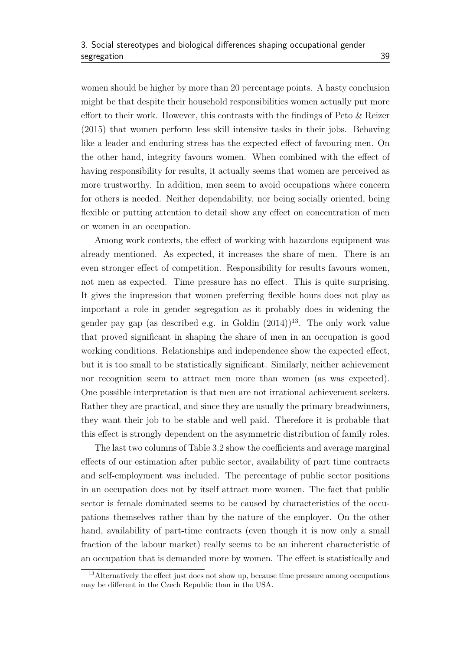women should be higher by more than 20 percentage points. A hasty conclusion might be that despite their household responsibilities women actually put more effort to their work. However, this contrasts with the findings of [Peto & Reizer](#page-59-12) [\(2015\)](#page-59-12) that women perform less skill intensive tasks in their jobs. Behaving like a leader and enduring stress has the expected effect of favouring men. On the other hand, integrity favours women. When combined with the effect of having responsibility for results, it actually seems that women are perceived as more trustworthy. In addition, men seem to avoid occupations where concern for others is needed. Neither dependability, nor being socially oriented, being flexible or putting attention to detail show any effect on concentration of men or women in an occupation.

Among work contexts, the effect of working with hazardous equipment was already mentioned. As expected, it increases the share of men. There is an even stronger effect of competition. Responsibility for results favours women, not men as expected. Time pressure has no effect. This is quite surprising. It gives the impression that women preferring flexible hours does not play as important a role in gender segregation as it probably does in widening the gender pay gap (as described e.g. in [Goldin](#page-58-10)  $(2014)$ <sup>[13](#page-49-0)</sup>. The only work value that proved significant in shaping the share of men in an occupation is good working conditions. Relationships and independence show the expected effect, but it is too small to be statistically significant. Similarly, neither achievement nor recognition seem to attract men more than women (as was expected). One possible interpretation is that men are not irrational achievement seekers. Rather they are practical, and since they are usually the primary breadwinners, they want their job to be stable and well paid. Therefore it is probable that this effect is strongly dependent on the asymmetric distribution of family roles.

The last two columns of [Table 3.2](#page-48-0) show the coefficients and average marginal effects of our estimation after public sector, availability of part time contracts and self-employment was included. The percentage of public sector positions in an occupation does not by itself attract more women. The fact that public sector is female dominated seems to be caused by characteristics of the occupations themselves rather than by the nature of the employer. On the other hand, availability of part-time contracts (even though it is now only a small fraction of the labour market) really seems to be an inherent characteristic of an occupation that is demanded more by women. The effect is statistically and

<span id="page-49-0"></span><sup>&</sup>lt;sup>13</sup>Alternatively the effect just does not show up, because time pressure among occupations may be different in the Czech Republic than in the USA.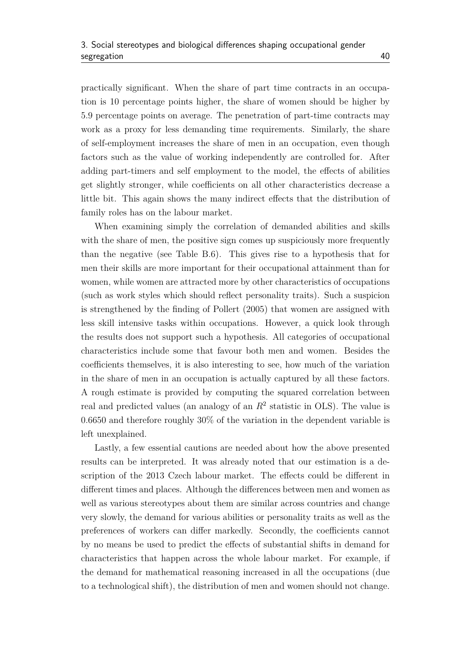practically significant. When the share of part time contracts in an occupation is 10 percentage points higher, the share of women should be higher by 5*.*9 percentage points on average. The penetration of part-time contracts may work as a proxy for less demanding time requirements. Similarly, the share of self-employment increases the share of men in an occupation, even though factors such as the value of working independently are controlled for. After adding part-timers and self employment to the model, the effects of abilities get slightly stronger, while coefficients on all other characteristics decrease a little bit. This again shows the many indirect effects that the distribution of family roles has on the labour market.

When examining simply the correlation of demanded abilities and skills with the share of men, the positive sign comes up suspiciously more frequently than the negative (see [Table B.6\)](#page-68-0). This gives rise to a hypothesis that for men their skills are more important for their occupational attainment than for women, while women are attracted more by other characteristics of occupations (such as work styles which should reflect personality traits). Such a suspicion is strengthened by the finding of [Pollert](#page-59-6) [\(2005\)](#page-59-6) that women are assigned with less skill intensive tasks within occupations. However, a quick look through the results does not support such a hypothesis. All categories of occupational characteristics include some that favour both men and women. Besides the coefficients themselves, it is also interesting to see, how much of the variation in the share of men in an occupation is actually captured by all these factors. A rough estimate is provided by computing the squared correlation between real and predicted values (an analogy of an  $R<sup>2</sup>$  statistic in OLS). The value is 0*.*6650 and therefore roughly 30% of the variation in the dependent variable is left unexplained.

Lastly, a few essential cautions are needed about how the above presented results can be interpreted. It was already noted that our estimation is a description of the 2013 Czech labour market. The effects could be different in different times and places. Although the differences between men and women as well as various stereotypes about them are similar across countries and change very slowly, the demand for various abilities or personality traits as well as the preferences of workers can differ markedly. Secondly, the coefficients cannot by no means be used to predict the effects of substantial shifts in demand for characteristics that happen across the whole labour market. For example, if the demand for mathematical reasoning increased in all the occupations (due to a technological shift), the distribution of men and women should not change.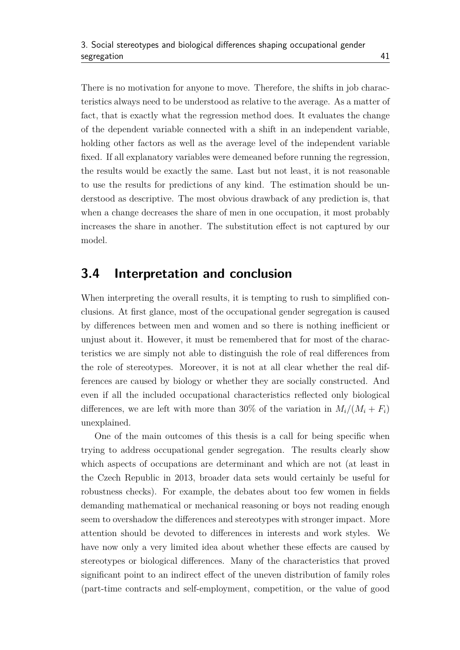There is no motivation for anyone to move. Therefore, the shifts in job characteristics always need to be understood as relative to the average. As a matter of fact, that is exactly what the regression method does. It evaluates the change of the dependent variable connected with a shift in an independent variable, holding other factors as well as the average level of the independent variable fixed. If all explanatory variables were demeaned before running the regression, the results would be exactly the same. Last but not least, it is not reasonable to use the results for predictions of any kind. The estimation should be understood as descriptive. The most obvious drawback of any prediction is, that when a change decreases the share of men in one occupation, it most probably increases the share in another. The substitution effect is not captured by our model.

#### <span id="page-51-0"></span>**3.4 Interpretation and conclusion**

When interpreting the overall results, it is tempting to rush to simplified conclusions. At first glance, most of the occupational gender segregation is caused by differences between men and women and so there is nothing inefficient or unjust about it. However, it must be remembered that for most of the characteristics we are simply not able to distinguish the role of real differences from the role of stereotypes. Moreover, it is not at all clear whether the real differences are caused by biology or whether they are socially constructed. And even if all the included occupational characteristics reflected only biological differences, we are left with more than 30% of the variation in  $M_i/(M_i + F_i)$ unexplained.

One of the main outcomes of this thesis is a call for being specific when trying to address occupational gender segregation. The results clearly show which aspects of occupations are determinant and which are not (at least in the Czech Republic in 2013, broader data sets would certainly be useful for robustness checks). For example, the debates about too few women in fields demanding mathematical or mechanical reasoning or boys not reading enough seem to overshadow the differences and stereotypes with stronger impact. More attention should be devoted to differences in interests and work styles. We have now only a very limited idea about whether these effects are caused by stereotypes or biological differences. Many of the characteristics that proved significant point to an indirect effect of the uneven distribution of family roles (part-time contracts and self-employment, competition, or the value of good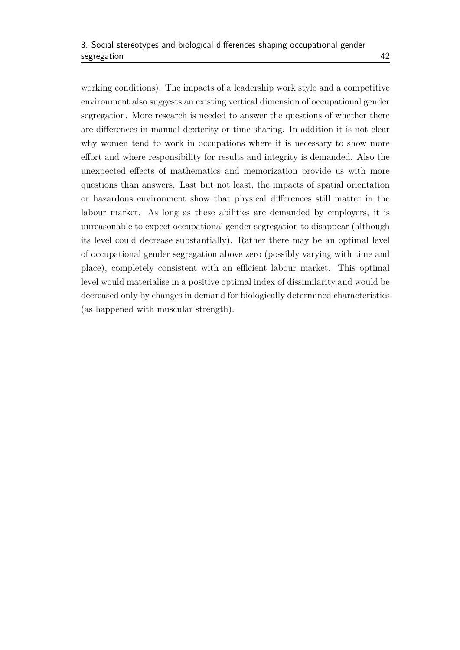working conditions). The impacts of a leadership work style and a competitive environment also suggests an existing vertical dimension of occupational gender segregation. More research is needed to answer the questions of whether there are differences in manual dexterity or time-sharing. In addition it is not clear why women tend to work in occupations where it is necessary to show more effort and where responsibility for results and integrity is demanded. Also the unexpected effects of mathematics and memorization provide us with more questions than answers. Last but not least, the impacts of spatial orientation or hazardous environment show that physical differences still matter in the labour market. As long as these abilities are demanded by employers, it is unreasonable to expect occupational gender segregation to disappear (although its level could decrease substantially). Rather there may be an optimal level of occupational gender segregation above zero (possibly varying with time and place), completely consistent with an efficient labour market. This optimal level would materialise in a positive optimal index of dissimilarity and would be decreased only by changes in demand for biologically determined characteristics (as happened with muscular strength).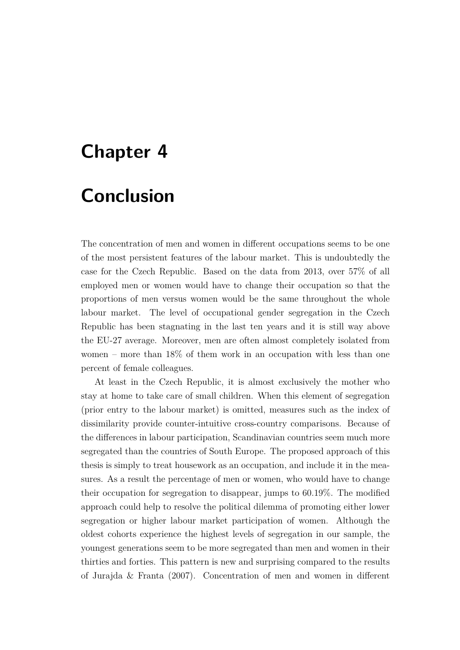### <span id="page-53-0"></span>**Chapter 4**

# **Conclusion**

The concentration of men and women in different occupations seems to be one of the most persistent features of the labour market. This is undoubtedly the case for the Czech Republic. Based on the data from 2013, over 57% of all employed men or women would have to change their occupation so that the proportions of men versus women would be the same throughout the whole labour market. The level of occupational gender segregation in the Czech Republic has been stagnating in the last ten years and it is still way above the EU-27 average. Moreover, men are often almost completely isolated from women – more than 18% of them work in an occupation with less than one percent of female colleagues.

At least in the Czech Republic, it is almost exclusively the mother who stay at home to take care of small children. When this element of segregation (prior entry to the labour market) is omitted, measures such as the index of dissimilarity provide counter-intuitive cross-country comparisons. Because of the differences in labour participation, Scandinavian countries seem much more segregated than the countries of South Europe. The proposed approach of this thesis is simply to treat housework as an occupation, and include it in the measures. As a result the percentage of men or women, who would have to change their occupation for segregation to disappear, jumps to 60.19%. The modified approach could help to resolve the political dilemma of promoting either lower segregation or higher labour market participation of women. Although the oldest cohorts experience the highest levels of segregation in our sample, the youngest generations seem to be more segregated than men and women in their thirties and forties. This pattern is new and surprising compared to the results of [Jurajda & Franta](#page-58-4) [\(2007\)](#page-58-4). Concentration of men and women in different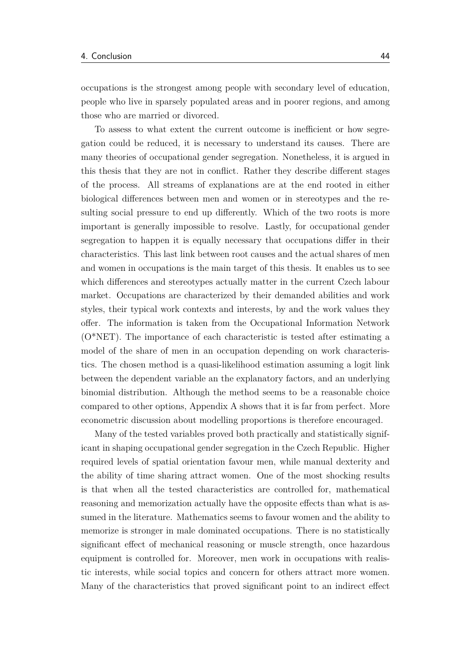occupations is the strongest among people with secondary level of education, people who live in sparsely populated areas and in poorer regions, and among those who are married or divorced.

To assess to what extent the current outcome is inefficient or how segregation could be reduced, it is necessary to understand its causes. There are many theories of occupational gender segregation. Nonetheless, it is argued in this thesis that they are not in conflict. Rather they describe different stages of the process. All streams of explanations are at the end rooted in either biological differences between men and women or in stereotypes and the resulting social pressure to end up differently. Which of the two roots is more important is generally impossible to resolve. Lastly, for occupational gender segregation to happen it is equally necessary that occupations differ in their characteristics. This last link between root causes and the actual shares of men and women in occupations is the main target of this thesis. It enables us to see which differences and stereotypes actually matter in the current Czech labour market. Occupations are characterized by their demanded abilities and work styles, their typical work contexts and interests, by and the work values they offer. The information is taken from the Occupational Information Network (O\*NET). The importance of each characteristic is tested after estimating a model of the share of men in an occupation depending on work characteristics. The chosen method is a quasi-likelihood estimation assuming a logit link between the dependent variable an the explanatory factors, and an underlying binomial distribution. Although the method seems to be a reasonable choice compared to other options, Appendix A shows that it is far from perfect. More econometric discussion about modelling proportions is therefore encouraged.

Many of the tested variables proved both practically and statistically significant in shaping occupational gender segregation in the Czech Republic. Higher required levels of spatial orientation favour men, while manual dexterity and the ability of time sharing attract women. One of the most shocking results is that when all the tested characteristics are controlled for, mathematical reasoning and memorization actually have the opposite effects than what is assumed in the literature. Mathematics seems to favour women and the ability to memorize is stronger in male dominated occupations. There is no statistically significant effect of mechanical reasoning or muscle strength, once hazardous equipment is controlled for. Moreover, men work in occupations with realistic interests, while social topics and concern for others attract more women. Many of the characteristics that proved significant point to an indirect effect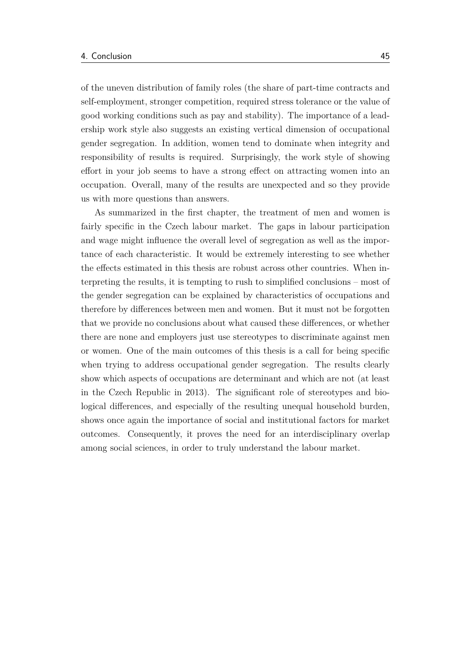of the uneven distribution of family roles (the share of part-time contracts and self-employment, stronger competition, required stress tolerance or the value of good working conditions such as pay and stability). The importance of a leadership work style also suggests an existing vertical dimension of occupational gender segregation. In addition, women tend to dominate when integrity and responsibility of results is required. Surprisingly, the work style of showing effort in your job seems to have a strong effect on attracting women into an occupation. Overall, many of the results are unexpected and so they provide us with more questions than answers.

As summarized in the first chapter, the treatment of men and women is fairly specific in the Czech labour market. The gaps in labour participation and wage might influence the overall level of segregation as well as the importance of each characteristic. It would be extremely interesting to see whether the effects estimated in this thesis are robust across other countries. When interpreting the results, it is tempting to rush to simplified conclusions – most of the gender segregation can be explained by characteristics of occupations and therefore by differences between men and women. But it must not be forgotten that we provide no conclusions about what caused these differences, or whether there are none and employers just use stereotypes to discriminate against men or women. One of the main outcomes of this thesis is a call for being specific when trying to address occupational gender segregation. The results clearly show which aspects of occupations are determinant and which are not (at least in the Czech Republic in 2013). The significant role of stereotypes and biological differences, and especially of the resulting unequal household burden, shows once again the importance of social and institutional factors for market outcomes. Consequently, it proves the need for an interdisciplinary overlap among social sciences, in order to truly understand the labour market.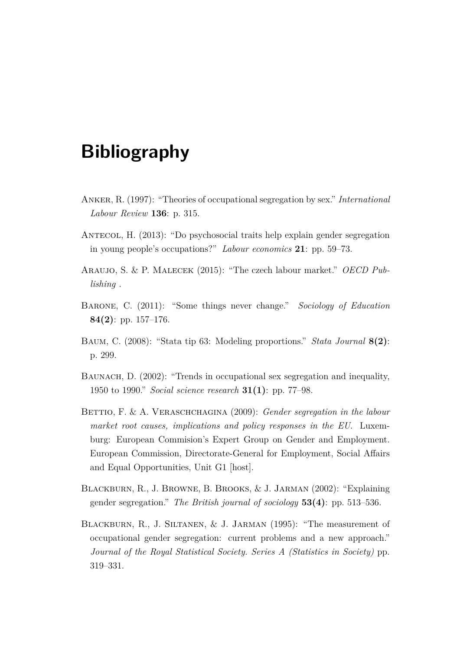## <span id="page-56-0"></span>**Bibliography**

- <span id="page-56-2"></span>Anker, R. (1997): "Theories of occupational segregation by sex." *International Labour Review* **136**: p. 315.
- <span id="page-56-7"></span>Antecol, H. (2013): "Do psychosocial traits help explain gender segregation in young people's occupations?" *Labour economics* **21**: pp. 59–73.
- <span id="page-56-6"></span>Araujo, S. & P. Malecek (2015): "The czech labour market." *OECD Publishing* .
- <span id="page-56-8"></span>Barone, C. (2011): "Some things never change." *Sociology of Education* **84(2)**: pp. 157–176.
- <span id="page-56-9"></span>Baum, C. (2008): "Stata tip 63: Modeling proportions." *Stata Journal* **8(2)**: p. 299.
- <span id="page-56-4"></span>BAUNACH, D. (2002): "Trends in occupational sex segregation and inequality, 1950 to 1990." *Social science research* **31(1)**: pp. 77–98.
- <span id="page-56-1"></span>BETTIO, F. & A. VERASCHCHAGINA (2009): *Gender segregation in the labour market root causes, implications and policy responses in the EU*. Luxemburg: European Commision's Expert Group on Gender and Employment. European Commission, Directorate-General for Employment, Social Affairs and Equal Opportunities, Unit G1 [host].
- <span id="page-56-5"></span>Blackburn, R., J. Browne, B. Brooks, & J. Jarman (2002): "Explaining gender segregation." *The British journal of sociology* **53(4)**: pp. 513–536.
- <span id="page-56-3"></span>Blackburn, R., J. Siltanen, & J. Jarman (1995): "The measurement of occupational gender segregation: current problems and a new approach." *Journal of the Royal Statistical Society. Series A (Statistics in Society)* pp. 319–331.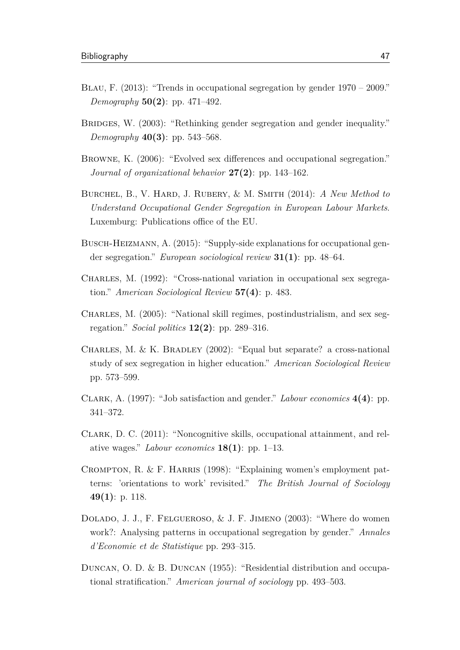- <span id="page-57-4"></span>Blau, F. (2013): "Trends in occupational segregation by gender 1970 – 2009." *Demography* **50(2)**: pp. 471–492.
- <span id="page-57-3"></span>BRIDGES, W. (2003): "Rethinking gender segregation and gender inequality." *Demography* **40(3)**: pp. 543–568.
- <span id="page-57-10"></span>BROWNE, K. (2006): "Evolved sex differences and occupational segregation." *Journal of organizational behavior* **27(2)**: pp. 143–162.
- <span id="page-57-2"></span>Burchel, B., V. Hard, J. Rubery, & M. Smith (2014): *A New Method to Understand Occupational Gender Segregation in European Labour Markets*. Luxemburg: Publications office of the EU.
- <span id="page-57-8"></span>BUSCH-HEIZMANN, A. (2015): "Supply-side explanations for occupational gender segregation." *European sociological review* **31(1)**: pp. 48–64.
- <span id="page-57-6"></span>Charles, M. (1992): "Cross-national variation in occupational sex segregation." *American Sociological Review* **57(4)**: p. 483.
- <span id="page-57-5"></span>Charles, M. (2005): "National skill regimes, postindustrialism, and sex segregation." *Social politics* **12(2)**: pp. 289–316.
- <span id="page-57-1"></span>CHARLES, M. & K. BRADLEY  $(2002)$ : "Equal but separate? a cross-national study of sex segregation in higher education." *American Sociological Review* pp. 573–599.
- <span id="page-57-12"></span>Clark, A. (1997): "Job satisfaction and gender." *Labour economics* **4(4)**: pp. 341–372.
- <span id="page-57-11"></span>Clark, D. C. (2011): "Noncognitive skills, occupational attainment, and relative wages." *Labour economics* **18(1)**: pp. 1–13.
- <span id="page-57-9"></span>CROMPTON, R.  $\&$  F. HARRIS (1998): "Explaining women's employment patterns: 'orientations to work' revisited." *The British Journal of Sociology* **49(1)**: p. 118.
- <span id="page-57-7"></span>Dolado, J. J., F. Felgueroso, & J. F. Jimeno (2003): "Where do women work?: Analysing patterns in occupational segregation by gender." *Annales d'Economie et de Statistique* pp. 293–315.
- <span id="page-57-0"></span>Duncan, O. D. & B. Duncan (1955): "Residential distribution and occupational stratification." *American journal of sociology* pp. 493–503.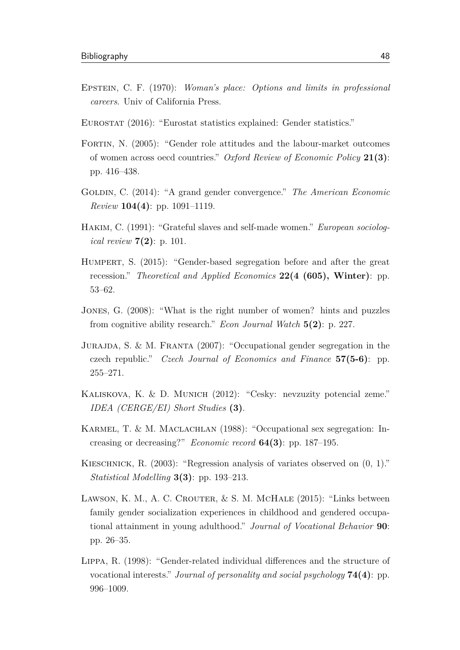- <span id="page-58-0"></span>Epstein, C. F. (1970): *Woman's place: Options and limits in professional careers*. Univ of California Press.
- <span id="page-58-2"></span>Eurostat (2016): "Eurostat statistics explained: Gender statistics."
- <span id="page-58-9"></span>Fortin, N. (2005): "Gender role attitudes and the labour-market outcomes of women across oecd countries." *Oxford Review of Economic Policy* **21(3)**: pp. 416–438.
- <span id="page-58-10"></span>Goldin, C. (2014): "A grand gender convergence." *The American Economic Review* **104(4)**: pp. 1091–1119.
- <span id="page-58-7"></span>Hakim, C. (1991): "Grateful slaves and self-made women." *European sociological review* **7(2)**: p. 101.
- <span id="page-58-5"></span>Humpert, S. (2015): "Gender-based segregation before and after the great recession." *Theoretical and Applied Economics* **22(4 (605), Winter)**: pp. 53–62.
- <span id="page-58-8"></span>Jones, G. (2008): "What is the right number of women? hints and puzzles from cognitive ability research." *Econ Journal Watch* **5(2)**: p. 227.
- <span id="page-58-4"></span>Jurajda, S. & M. Franta (2007): "Occupational gender segregation in the czech republic." *Czech Journal of Economics and Finance* **57(5-6)**: pp. 255–271.
- <span id="page-58-3"></span>Kaliskova, K. & D. Munich (2012): "Cesky: nevzuzity potencial zeme." *IDEA (CERGE/EI) Short Studies* **(3)**.
- <span id="page-58-1"></span>KARMEL, T. & M. MACLACHLAN (1988): "Occupational sex segregation: Increasing or decreasing?" *Economic record* **64(3)**: pp. 187–195.
- <span id="page-58-12"></span>Kieschnick, R. (2003): "Regression analysis of variates observed on (0, 1)." *Statistical Modelling* **3(3)**: pp. 193–213.
- <span id="page-58-6"></span>Lawson, K. M., A. C. Crouter, & S. M. McHale (2015): "Links between family gender socialization experiences in childhood and gendered occupational attainment in young adulthood." *Journal of Vocational Behavior* **90**: pp. 26–35.
- <span id="page-58-11"></span>Lippa, R. (1998): "Gender-related individual differences and the structure of vocational interests." *Journal of personality and social psychology* **74(4)**: pp. 996–1009.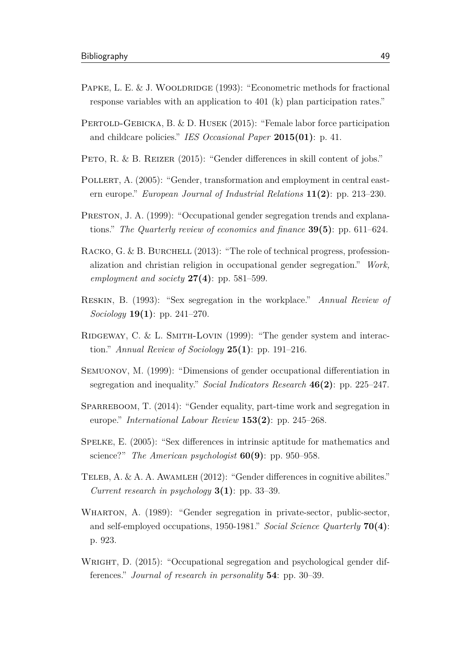- <span id="page-59-13"></span>PAPKE, L. E. & J. WOOLDRIDGE (1993): "Econometric methods for fractional response variables with an application to 401 (k) plan participation rates."
- <span id="page-59-7"></span>PERTOLD-GEBICKA, B. & D. HUSEK (2015): "Female labor force participation and childcare policies." *IES Occasional Paper* **2015(01)**: p. 41.
- <span id="page-59-12"></span>PETO, R. & B. REIZER (2015): "Gender differences in skill content of jobs."
- <span id="page-59-6"></span>POLLERT, A. (2005): "Gender, transformation and employment in central eastern europe." *European Journal of Industrial Relations* **11(2)**: pp. 213–230.
- <span id="page-59-2"></span>Preston, J. A. (1999): "Occupational gender segregation trends and explanations." *The Quarterly review of economics and finance* **39(5)**: pp. 611–624.
- <span id="page-59-4"></span>RACKO, G. & B. BURCHELL  $(2013)$ : "The role of technical progress, professionalization and christian religion in occupational gender segregation." *Work, employment and society* **27(4)**: pp. 581–599.
- <span id="page-59-3"></span>Reskin, B. (1993): "Sex segregation in the workplace." *Annual Review of Sociology* **19(1)**: pp. 241–270.
- <span id="page-59-8"></span>RIDGEWAY, C. & L. SMITH-LOVIN  $(1999)$ : "The gender system and interaction." *Annual Review of Sociology* **25(1)**: pp. 191–216.
- <span id="page-59-1"></span>Semuonov, M. (1999): "Dimensions of gender occupational differentiation in segregation and inequality." *Social Indicators Research* **46(2)**: pp. 225–247.
- <span id="page-59-0"></span>SPARREBOOM, T. (2014): "Gender equality, part-time work and segregation in europe." *International Labour Review* **153(2)**: pp. 245–268.
- <span id="page-59-9"></span>Spelke, E. (2005): "Sex differences in intrinsic aptitude for mathematics and science?" *The American psychologist* **60(9)**: pp. 950–958.
- <span id="page-59-10"></span>TELEB, A. & A. A. AWAMLEH (2012): "Gender differences in cognitive abilites." *Current research in psychology* **3(1)**: pp. 33–39.
- <span id="page-59-5"></span>WHARTON, A. (1989): "Gender segregation in private-sector, public-sector, and self-employed occupations, 1950-1981." *Social Science Quarterly* **70(4)**: p. 923.
- <span id="page-59-11"></span>WRIGHT, D. (2015): "Occupational segregation and psychological gender differences." *Journal of research in personality* **54**: pp. 30–39.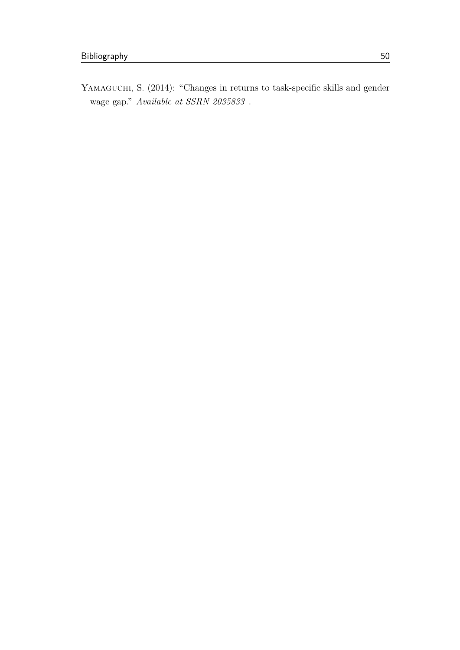<span id="page-60-0"></span>YAMAGUCHI, S. (2014): "Changes in returns to task-specific skills and gender wage gap." *Available at SSRN 2035833* .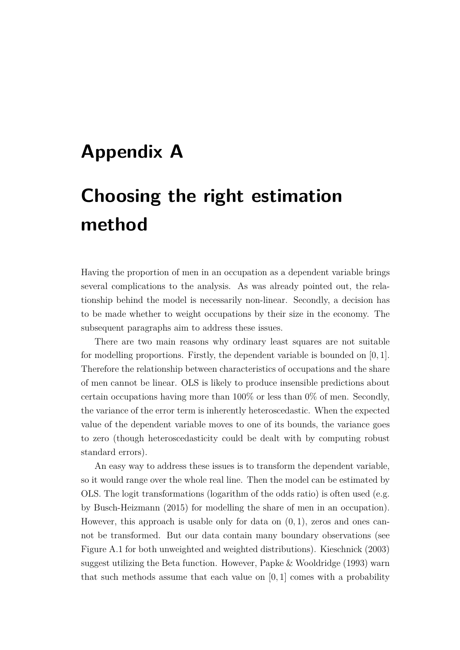# <span id="page-61-0"></span>**Appendix A**

# **Choosing the right estimation method**

Having the proportion of men in an occupation as a dependent variable brings several complications to the analysis. As was already pointed out, the relationship behind the model is necessarily non-linear. Secondly, a decision has to be made whether to weight occupations by their size in the economy. The subsequent paragraphs aim to address these issues.

There are two main reasons why ordinary least squares are not suitable for modelling proportions. Firstly, the dependent variable is bounded on [0*,* 1]. Therefore the relationship between characteristics of occupations and the share of men cannot be linear. OLS is likely to produce insensible predictions about certain occupations having more than 100% or less than 0% of men. Secondly, the variance of the error term is inherently heteroscedastic. When the expected value of the dependent variable moves to one of its bounds, the variance goes to zero (though heteroscedasticity could be dealt with by computing robust standard errors).

An easy way to address these issues is to transform the dependent variable, so it would range over the whole real line. Then the model can be estimated by OLS. The logit transformations (logarithm of the odds ratio) is often used (e.g. by [Busch-Heizmann](#page-57-8) [\(2015\)](#page-57-8) for modelling the share of men in an occupation). However, this approach is usable only for data on (0*,* 1), zeros and ones cannot be transformed. But our data contain many boundary observations (see [Figure A.1](#page-62-0) for both unweighted and weighted distributions). [Kieschnick](#page-58-12) [\(2003\)](#page-58-12) suggest utilizing the Beta function. However, [Papke & Wooldridge](#page-59-13) [\(1993\)](#page-59-13) warn that such methods assume that each value on [0*,* 1] comes with a probability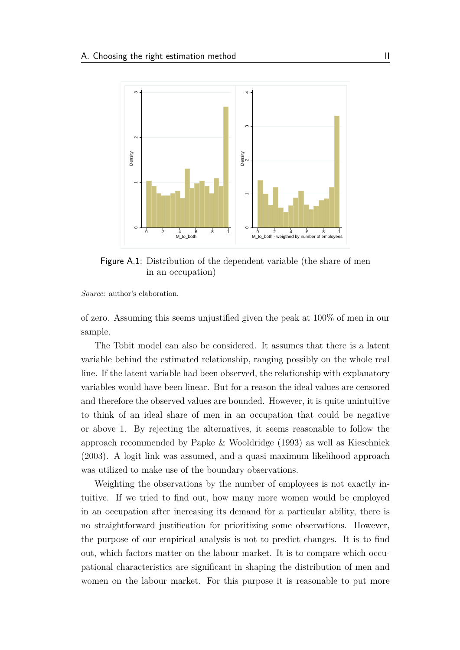<span id="page-62-0"></span>

Figure A.1: Distribution of the dependent variable (the share of men in an occupation)

*Source:* author's elaboration.

of zero. Assuming this seems unjustified given the peak at 100% of men in our sample.

The Tobit model can also be considered. It assumes that there is a latent variable behind the estimated relationship, ranging possibly on the whole real line. If the latent variable had been observed, the relationship with explanatory variables would have been linear. But for a reason the ideal values are censored and therefore the observed values are bounded. However, it is quite unintuitive to think of an ideal share of men in an occupation that could be negative or above 1. By rejecting the alternatives, it seems reasonable to follow the approach recommended by [Papke & Wooldridge](#page-59-13) [\(1993\)](#page-59-13) as well as [Kieschnick](#page-58-12) [\(2003\)](#page-58-12). A logit link was assumed, and a quasi maximum likelihood approach was utilized to make use of the boundary observations.

Weighting the observations by the number of employees is not exactly intuitive. If we tried to find out, how many more women would be employed in an occupation after increasing its demand for a particular ability, there is no straightforward justification for prioritizing some observations. However, the purpose of our empirical analysis is not to predict changes. It is to find out, which factors matter on the labour market. It is to compare which occupational characteristics are significant in shaping the distribution of men and women on the labour market. For this purpose it is reasonable to put more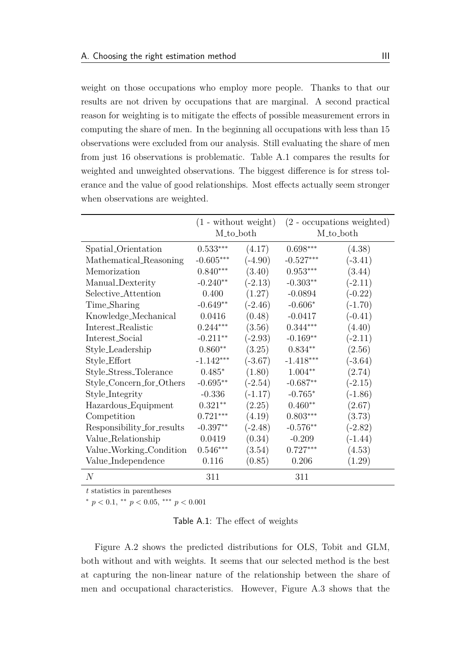weight on those occupations who employ more people. Thanks to that our results are not driven by occupations that are marginal. A second practical reason for weighting is to mitigate the effects of possible measurement errors in computing the share of men. In the beginning all occupations with less than 15 observations were excluded from our analysis. Still evaluating the share of men from just 16 observations is problematic. [Table A.1](#page-63-0) compares the results for weighted and unweighted observations. The biggest difference is for stress tolerance and the value of good relationships. Most effects actually seem stronger when observations are weighted.

<span id="page-63-0"></span>

|                            | $(1 - \text{without weight})$ |           | $(2$ - occupations weighted) |                      |
|----------------------------|-------------------------------|-----------|------------------------------|----------------------|
|                            | M <sub>to_both</sub>          |           |                              | M <sub>to</sub> both |
| Spatial_Orientation        | $0.533***$                    | (4.17)    | $0.698***$                   | (4.38)               |
| Mathematical_Reasoning     | $-0.605***$                   | $(-4.90)$ | $-0.527***$                  | $(-3.41)$            |
| Memorization               | $0.840***$                    | (3.40)    | $0.953***$                   | (3.44)               |
| Manual_Dexterity           | $-0.240**$                    | $(-2.13)$ | $-0.303**$                   | $(-2.11)$            |
| Selective_Attention        | 0.400                         | (1.27)    | $-0.0894$                    | $(-0.22)$            |
| Time_Sharing               | $-0.649**$                    | $(-2.46)$ | $-0.606*$                    | $(-1.70)$            |
| Knowledge_Mechanical       | 0.0416                        | (0.48)    | $-0.0417$                    | $(-0.41)$            |
| Interest_Realistic         | $0.244***$                    | (3.56)    | $0.344***$                   | (4.40)               |
| Interest_Social            | $-0.211**$                    | $(-2.93)$ | $-0.169**$                   | $(-2.11)$            |
| Style_Leadership           | $0.860**$                     | (3.25)    | $0.834**$                    | (2.56)               |
| Style_Effort               | $-1.142***$                   | $(-3.67)$ | $-1.418***$                  | $(-3.64)$            |
| Style_Stress_Tolerance     | $0.485*$                      | (1.80)    | $1.004**$                    | (2.74)               |
| Style_Concern_for_Others   | $-0.695**$                    | $(-2.54)$ | $-0.687**$                   | $(-2.15)$            |
| Style_Integrity            | $-0.336$                      | $(-1.17)$ | $-0.765*$                    | $(-1.86)$            |
| Hazardous_Equipment        | $0.321**$                     | (2.25)    | $0.460**$                    | (2.67)               |
| Competition                | $0.721***$                    | (4.19)    | $0.803***$                   | (3.73)               |
| Responsibility_for_results | $-0.397**$                    | $(-2.48)$ | $-0.576**$                   | $(-2.82)$            |
| Value_Relationship         | 0.0419                        | (0.34)    | $-0.209$                     | $(-1.44)$            |
| Value_Working_Condition    | $0.546***$                    | (3.54)    | $0.727***$                   | (4.53)               |
| Value_Independence         | 0.116                         | (0.85)    | 0.206                        | (1.29)               |
| $\overline{N}$             | 311                           |           | 311                          |                      |

*t* statistics in parentheses

 $\binom{*}{p}$  *k*  $p$  < 0.1, \*\*  $p$  < 0.05, \*\*\*  $p$  < 0.001

Table A.1: The effect of weights

[Figure A.2](#page-64-0) shows the predicted distributions for OLS, Tobit and GLM, both without and with weights. It seems that our selected method is the best at capturing the non-linear nature of the relationship between the share of men and occupational characteristics. However, [Figure A.3](#page-65-0) shows that the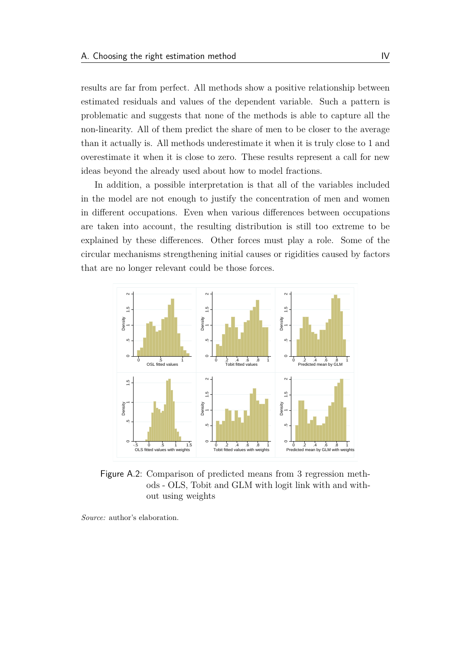results are far from perfect. All methods show a positive relationship between estimated residuals and values of the dependent variable. Such a pattern is problematic and suggests that none of the methods is able to capture all the non-linearity. All of them predict the share of men to be closer to the average than it actually is. All methods underestimate it when it is truly close to 1 and overestimate it when it is close to zero. These results represent a call for new ideas beyond the already used about how to model fractions.

In addition, a possible interpretation is that all of the variables included in the model are not enough to justify the concentration of men and women in different occupations. Even when various differences between occupations are taken into account, the resulting distribution is still too extreme to be explained by these differences. Other forces must play a role. Some of the circular mechanisms strengthening initial causes or rigidities caused by factors that are no longer relevant could be those forces.

<span id="page-64-0"></span>

Figure A.2: Comparison of predicted means from 3 regression methods - OLS, Tobit and GLM with logit link with and without using weights

*Source:* author's elaboration.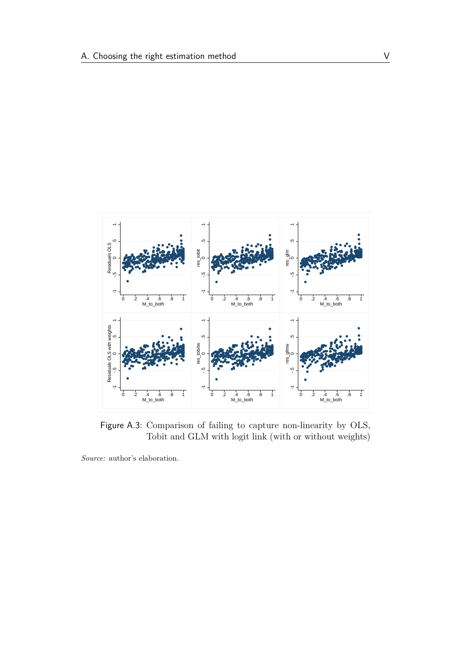<span id="page-65-0"></span>

Figure A.3: Comparison of failing to capture non-linearity by OLS, Tobit and GLM with logit link (with or without weights)

*Source:* author's elaboration.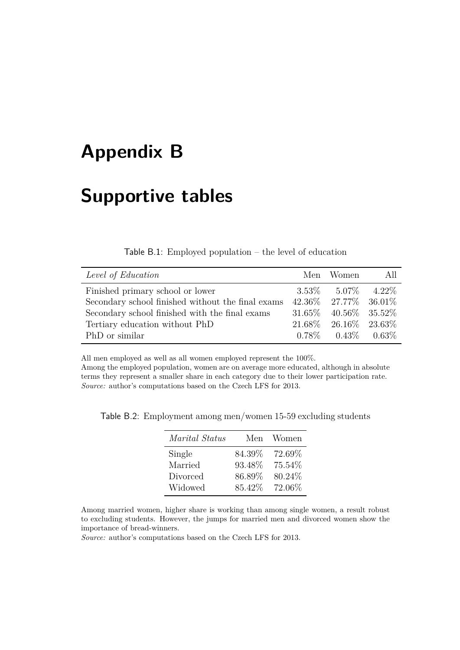## <span id="page-66-0"></span>**Appendix B**

### **Supportive tables**

#### Table B.1: Employed population – the level of education

<span id="page-66-1"></span>

| Level of Education                                | Men Women                     | - All |
|---------------------------------------------------|-------------------------------|-------|
| Finished primary school or lower                  | $3.53\%$ $5.07\%$ $4.22\%$    |       |
| Secondary school finished without the final exams | $42.36\%$ 27.77\% 36.01\%     |       |
| Secondary school finished with the final exams    | $31.65\%$ $40.56\%$ $35.52\%$ |       |
| Tertiary education without PhD                    | $21.68\%$ $26.16\%$ $23.63\%$ |       |
| PhD or similar                                    | $0.78\%$ $0.43\%$ $0.63\%$    |       |

All men employed as well as all women employed represent the 100%.

Among the employed population, women are on average more educated, although in absolute terms they represent a smaller share in each category due to their lower participation rate. *Source:* author's computations based on the Czech LFS for 2013.

| Marital Status | Men    | Women  |
|----------------|--------|--------|
| Single         | 84.39% | 72.69% |
| Married        | 93.48% | 75.54% |
| Divorced       | 86.89% | 80.24% |
| Widowed        | 85.42% | 72.06% |

<span id="page-66-2"></span>Table B.2: Employment among men/women 15-59 excluding students

Among married women, higher share is working than among single women, a result robust to excluding students. However, the jumps for married men and divorced women show the importance of bread-winners.

*Source:* author's computations based on the Czech LFS for 2013.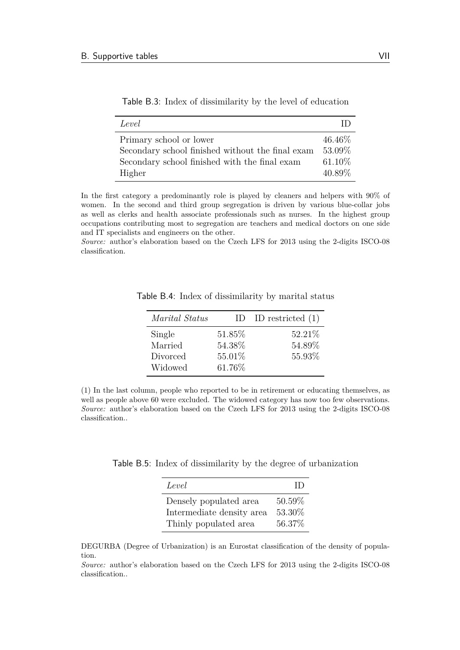| Level                                            |           |
|--------------------------------------------------|-----------|
| Primary school or lower                          | 46.46\%   |
| Secondary school finished without the final exam | 53.09%    |
| Secondary school finished with the final exam    | $61.10\%$ |
| Higher                                           | 40.89%    |

<span id="page-67-0"></span>Table B.3: Index of dissimilarity by the level of education

In the first category a predominantly role is played by cleaners and helpers with 90% of women. In the second and third group segregation is driven by various blue-collar jobs as well as clerks and health associate professionals such as nurses. In the highest group occupations contributing most to segregation are teachers and medical doctors on one side and IT specialists and engineers on the other.

<span id="page-67-1"></span>*Source:* author's elaboration based on the Czech LFS for 2013 using the 2-digits ISCO-08 classification.

| Marital Status | $\Box$ | ID restricted $(1)$ |
|----------------|--------|---------------------|
| Single         | 51.85% | 52.21\%             |
| Married        | 54.38% | 54.89%              |
| Divorced       | 55.01% | 55.93%              |
| Widowed        | 61.76% |                     |

Table B.4: Index of dissimilarity by marital status

(1) In the last column, people who reported to be in retirement or educating themselves, as well as people above 60 were excluded. The widowed category has now too few observations. *Source:* author's elaboration based on the Czech LFS for 2013 using the 2-digits ISCO-08 classification..

<span id="page-67-2"></span>Table B.5: Index of dissimilarity by the degree of urbanization

| Level                     | ID      |
|---------------------------|---------|
| Densely populated area    | 50.59%  |
| Intermediate density area | 53.30%  |
| Thinly populated area     | 56.37\% |

DEGURBA (Degree of Urbanization) is an Eurostat classification of the density of population.

*Source:* author's elaboration based on the Czech LFS for 2013 using the 2-digits ISCO-08 classification..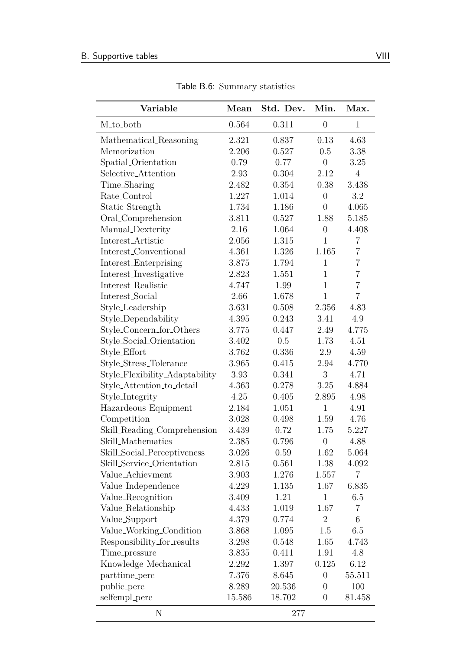<span id="page-68-0"></span>

| Variable                       | Mean   | Std. Dev. | Min.             | Max.           |
|--------------------------------|--------|-----------|------------------|----------------|
| M <sub>to_both</sub>           | 0.564  | 0.311     | $\boldsymbol{0}$ | $\mathbf{1}$   |
| Mathematical_Reasoning         | 2.321  | 0.837     | 0.13             | 4.63           |
| Memorization                   | 2.206  | 0.527     | 0.5              | 3.38           |
| Spatial_Orientation            | 0.79   | 0.77      | $\overline{0}$   | 3.25           |
| Selective_Attention            | 2.93   | 0.304     | 2.12             | $\overline{4}$ |
| Time_Sharing                   | 2.482  | 0.354     | 0.38             | 3.438          |
| Rate_Control                   | 1.227  | 1.014     | $\overline{0}$   | 3.2            |
| Static_Strength                | 1.734  | 1.186     | $\overline{0}$   | 4.065          |
| Oral_Comprehension             | 3.811  | 0.527     | 1.88             | 5.185          |
| Manual_Dexterity               | 2.16   | 1.064     | $\boldsymbol{0}$ | 4.408          |
| Interest_Artistic              | 2.056  | 1.315     | $\mathbf{1}$     | $\overline{7}$ |
| Interest_Conventional          | 4.361  | 1.326     | 1.165            | $\overline{7}$ |
| Interest_Enterprising          | 3.875  | 1.794     | $\mathbf{1}$     | $\overline{7}$ |
| Interest_Investigative         | 2.823  | 1.551     | $\mathbf{1}$     | $\overline{7}$ |
| Interest_Realistic             | 4.747  | 1.99      | $\mathbf{1}$     | $\overline{7}$ |
| Interest_Social                | 2.66   | 1.678     | $\mathbf{1}$     | $\overline{7}$ |
| Style_Leadership               | 3.631  | 0.508     | 2.356            | 4.83           |
| Style_Dependability            | 4.395  | 0.243     | 3.41             | 4.9            |
| Style_Concern_for_Others       | 3.775  | 0.447     | 2.49             | 4.775          |
| Style_Social_Orientation       | 3.402  | 0.5       | 1.73             | 4.51           |
| Style_Effort                   | 3.762  | 0.336     | 2.9              | 4.59           |
| Style_Stress_Tolerance         | 3.965  | 0.415     | 2.94             | 4.770          |
| Style_Flexibility_Adaptability | 3.93   | 0.341     | 3                | 4.71           |
| Style_Attention_to_detail      | 4.363  | 0.278     | 3.25             | 4.884          |
| Style_Integrity                | 4.25   | 0.405     | 2.895            | 4.98           |
| Hazardeous_Equipment           | 2.184  | 1.051     | $\mathbf{1}$     | 4.91           |
| Competition                    | 3.028  | 0.498     | 1.59             | 4.76           |
| Skill_Reading_Comprehension    | 3.439  | 0.72      | 1.75             | 5.227          |
| Skill_Mathematics              | 2.385  | 0.796     | $\overline{0}$   | 4.88           |
| Skill_Social_Perceptiveness    | 3.026  | 0.59      | 1.62             | 5.064          |
| Skill_Service_Orientation      | 2.815  | 0.561     | 1.38             | 4.092          |
| Value_Achievment               | 3.903  | 1.276     | 1.557            | $\overline{7}$ |
| Value_Independence             | 4.229  | 1.135     | 1.67             | 6.835          |
| Value_Recognition              | 3.409  | 1.21      | $\mathbf{1}$     | 6.5            |
| Value_Relationship             | 4.433  | 1.019     | 1.67             | $\overline{7}$ |
| Value_Support                  | 4.379  | 0.774     | $\overline{2}$   | 6              |
| Value_Working_Condition        | 3.868  | 1.095     | 1.5              | 6.5            |
| Responsibility_for_results     | 3.298  | 0.548     | 1.65             | 4.743          |
| Time <sub>-pressure</sub>      | 3.835  | 0.411     | 1.91             | 4.8            |
| Knowledge_Mechanical           | 2.292  | 1.397     | 0.125            | 6.12           |
| parttime_perc                  | 7.376  | 8.645     | $\boldsymbol{0}$ | 55.511         |
| public_perc                    | 8.289  | 20.536    | $\overline{0}$   | 100            |
| selfempl_perc                  | 15.586 | 18.702    | $\overline{0}$   | 81.458         |
| N                              |        | 277       |                  |                |

Table B.6: Summary statistics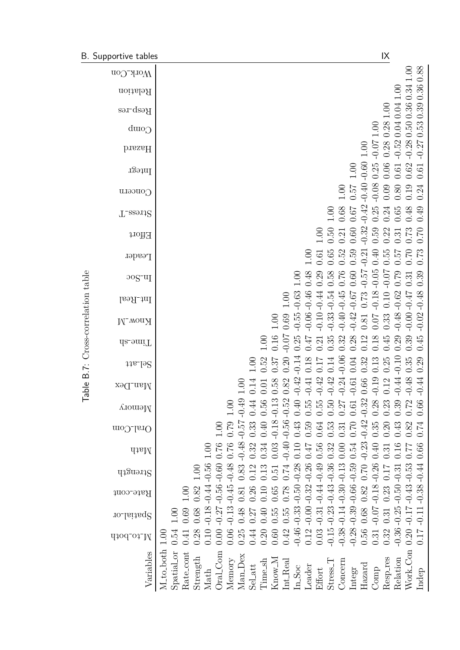<span id="page-69-0"></span>

|                              | B. Supportive tables               | $\mathsf{IX}$                                                                                                                                                                                                                                                                                                                                                                          |
|------------------------------|------------------------------------|----------------------------------------------------------------------------------------------------------------------------------------------------------------------------------------------------------------------------------------------------------------------------------------------------------------------------------------------------------------------------------------|
|                              | иогу-Соп                           | 0.88<br>00.1                                                                                                                                                                                                                                                                                                                                                                           |
|                              | Relation                           | 0.34<br>0.36<br>00 <sub>1</sub>                                                                                                                                                                                                                                                                                                                                                        |
|                              | Resp_res                           | 0.04 0.04<br>$1.00\,$                                                                                                                                                                                                                                                                                                                                                                  |
|                              | Comp                               | 0.28<br>1.00                                                                                                                                                                                                                                                                                                                                                                           |
|                              | bissaH                             | $-0.280.500.36$<br>$-0.270.530.39$<br>$-0.52$<br>$-0.0 -$<br>0.28<br>$1.00\,$                                                                                                                                                                                                                                                                                                          |
|                              | Integr                             | $-0.60$<br>$0.06$<br>0.25<br>0.62<br>1.00<br>$0.61\,$<br>0.61                                                                                                                                                                                                                                                                                                                          |
|                              | Сопсети                            | $-0.40$<br>$-0.08$<br>0.57<br>0.09<br>0.24<br>0.19<br>1.00<br>0.80                                                                                                                                                                                                                                                                                                                     |
|                              | T_ase112                           | $-0.42$<br>$0.25\,$<br>0.68<br>0.24<br>0.65<br>0.48<br>0.49<br><b>19:0</b><br>$1.00\,$                                                                                                                                                                                                                                                                                                 |
|                              | Effort                             | $-0.32$<br>0.59<br>0.50<br>0.22<br>$0.31$<br>$0.73$<br>$0.60\,$<br>0.70<br>1.00<br>0.21                                                                                                                                                                                                                                                                                                |
|                              | Leader                             | 0.55<br>0.52<br>0.40<br>0.73<br>0.65<br>0.59<br>$0.70$<br>75.0<br>$-0.21$<br>0.61                                                                                                                                                                                                                                                                                                      |
|                              | $\log$ - $\text{u}$ <sub>I</sub>   | $-0.57$<br>$-0.05$<br>$-0.07$<br>0.76<br>0.79<br>0.58<br>$0.60\,$<br>0.39<br>0.48<br>0.29<br>001<br>0.31                                                                                                                                                                                                                                                                               |
|                              | Int_Real                           | $-0.62$<br>$-0.63$<br>$-0.47$<br>$-0.46$<br>$-0.18$<br>$-0.54$<br>$-0.45$<br>$-0.67$<br>0.10<br>$-0.44$<br>0.73<br>$1.00\,$                                                                                                                                                                                                                                                            |
|                              | <b>N-wonX</b>                      | $-0.02 - 0.48$<br>$-0.00$ .<br>$-0.48$<br>$-0.06$<br>$-0.10$<br>$-0.33$<br>$-0.40$<br>$-0.55$<br>$-0.42$<br>0.69<br>0.33<br>0.81<br>$1.00$<br>0.07                                                                                                                                                                                                                                     |
| B.7: Cross-correlation table | da_omiT                            | $-0.07$<br>0.25<br>0.29<br>0.16<br>0.45<br>0.45<br>0.39<br>0.35<br>0.32<br>0.28<br>0.18<br>$2\overline{1}$<br>0.12<br>1.00<br>0.21                                                                                                                                                                                                                                                     |
|                              | $11a$ - $192$                      | $-0.06$<br>$-0.10$<br>$-0.14$<br>0.35<br>0.52<br>0.18<br>0.29<br>0.32<br>0.13<br>0.25<br>0.14<br>0.04<br>0.37<br>0.20<br>1.00                                                                                                                                                                                                                                                          |
| $\mathbb O$<br><b>IdeT</b>   | x <sub>9</sub> Q_nsM               | 42<br>$\ddot{4}$<br>42<br>$\mathbb{Z}^4$<br>$\ddot{4}$<br>$\frac{8}{3}$<br>42<br>$\overline{0}$<br>$0.82\,$<br>$\Xi$<br>$66\,$<br>$\begin{array}{c} 0.01 \\ 0.58 \end{array}$<br>$\pm$<br>$\overline{14}$<br>12<br>S<br>$\overline{C}$<br>$\dot{\circ}$<br>$\circ$<br>$\bigcirc$<br>$\frac{1}{\sqrt{2}}$<br>$\bigcap$<br>$\cup$<br>$\bigcirc$<br>$\cup$<br>$\bigcap$<br>ု<br>$\bigcap$ |
|                              | <b>Лешогу</b>                      | $-0.13$<br>$-0.32$<br>$-0.52$<br>0.40<br>$-0.49$<br>0.39<br>0.56<br>$0.28\,$<br>0.72<br>0.23<br>0.66<br>0.55<br>0.55<br>0.50<br>0.44<br>0.27<br>00.1<br>0.61                                                                                                                                                                                                                           |
|                              | Oral_Com                           | $-0.56$ .<br>$-0.42$ .<br>$-0.18$<br>$-0.57$<br>0.40<br>0.79<br>0.43<br>0.33<br>0.59<br>$0.35\,$<br>0.43<br>0.82<br>0.53<br>$0.70\,$<br>0.20<br>$0.74\,$<br>0.64<br>1.00<br>0.31                                                                                                                                                                                                       |
|                              | dtall                              | $-0.48$ .<br>$-0.23$<br>$-0.40$<br>0.76<br>0.03<br>0.32<br>0.10<br>$0.40\,$<br>0.76<br>0.34<br>0.56<br>0.54<br>0.66<br>0.32<br>0.16<br><b>170</b><br>0.00<br>0.77<br>0.31<br>001                                                                                                                                                                                                       |
|                              | q <sub>1</sub> 3uə.11 <sub>S</sub> | $-0.48$<br>0.70<br>0.83<br>0.13<br>0.74<br>0.17<br>1.00<br>0.51                                                                                                                                                                                                                                                                                                                        |
|                              | Rate_cont                          | $-0.18 - 0.44 - 0.56$<br>$-0.56 - 0.60$<br>$-0.00 - 0.32 - 0.26$<br>$-0.14 - 0.30 - 0.13$<br>$-0.66 - 0.59$<br>$-0.11 - 0.38 - 0.44$<br>$-0.44 - 0.49$<br>$-0.07 - 0.18 - 0.26$<br>$-0.50 - 0.31$<br>0.82<br>0.23<br>0.78<br>0.82<br>0.26<br>0.10<br>0.65<br>00.1<br>0.81                                                                                                              |
|                              | Ypatial_or                         | $-0.13 - 0.45$<br>$-0.39$<br>$-0.27$<br>0.68<br>$-0.31$<br>0.48<br>0.55<br>0.69<br>0.68<br>0.40<br>0.31<br>0.55<br>0.27<br>1.00                                                                                                                                                                                                                                                        |
|                              | M_to_both                          | $-0.15 - 0.23 - 0.43 - 0.36$<br>$0.20 - 0.17 - 0.43 - 0.53$<br>$-0.46 - 0.33 - 0.50 - 0.28$<br>$-0.36 - 0.25$<br>$-0.38$ .<br>$-0.28$<br>0.56<br>0.12<br>0.54<br>0.10<br>0.32<br>0.17<br>0.06<br>0.25<br>0.42<br>0.03<br>$0.60\,$<br>0.28<br>$\,0.44$<br>0.20<br>0.31<br>0.00<br>0.41<br>1.00                                                                                          |
|                              | Variables                          | M <sub>-to-both</sub><br>Work_Con<br>Spatial_or<br>Oral_Com<br>Rate_cont<br>Man_Dex<br>Strength<br>Know_M<br>Resp_res<br>Relation<br>Memory<br>Time_sh<br>Stress <sub>-T</sub><br>Concern<br>$Int\_Real$<br>Hazard<br>$\operatorname{Sel}\!-\!\operatorname{att}$<br>Leader<br>InSoc<br>Effort<br>Comp<br>Integr<br>Indep<br>Math                                                      |